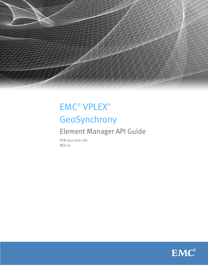

# <span id="page-0-2"></span><span id="page-0-0"></span>EMC® VPLEX® GeoSynchrony

# <span id="page-0-3"></span><span id="page-0-1"></span>Element Manager API Guide

P/N 302-000-781 REV 01

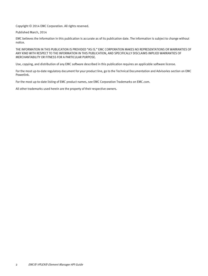Copyright © 2014 EMC Corporation. All rights reserved.

Published March, 2014

EMC believes the information in this publication is accurate as of its publication date. The information is subject to change without notice.

THE INFORMATION IN THIS PUBLICATION IS PROVIDED "AS IS." EMC CORPORATION MAKES NO REPRESENTATIONS OR WARRANTIES OF ANY KIND WITH RESPECT TO THE INFORMATION IN THIS PUBLICATION, AND SPECIFICALLY DISCLAIMS IMPLIED WARRANTIES OF MERCHANTABILITY OR FITNESS FOR A PARTICULAR PURPOSE.

Use, copying, and distribution of any EMC software described in this publication requires an applicable software license.

For the most up-to-date regulatory document for your product line, go to the Technical Documentation and Advisories section on EMC Powerlink.

For the most up-to-date listing of EMC product names, see EMC Corporation Trademarks on EMC.com.

All other trademarks used herein are the property of their respective owners.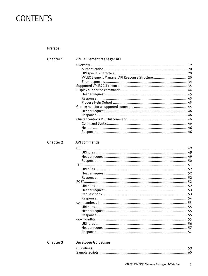# **CONTENTS**

# Preface

| Chapter 1        | <b>VPLEX Element Manager API</b> |  |
|------------------|----------------------------------|--|
|                  |                                  |  |
|                  |                                  |  |
|                  |                                  |  |
|                  |                                  |  |
|                  |                                  |  |
|                  |                                  |  |
|                  |                                  |  |
|                  |                                  |  |
|                  |                                  |  |
|                  |                                  |  |
|                  |                                  |  |
|                  |                                  |  |
|                  |                                  |  |
|                  |                                  |  |
|                  |                                  |  |
|                  |                                  |  |
|                  |                                  |  |
| <b>Chapter 2</b> | <b>API commands</b>              |  |
|                  |                                  |  |

| Chapter |  |
|---------|--|
|---------|--|

| GFT. | 49  |
|------|-----|
|      | 49  |
|      | 49  |
|      | 50  |
|      | 51  |
|      | 52  |
|      | 52  |
|      | 52  |
|      | 52  |
|      | 52  |
|      | 53  |
|      | 53  |
|      | -54 |
|      | 55  |
|      | 55  |
|      | 55  |
|      | 55  |
|      | 55  |
|      | 56  |
|      | 57  |
|      | 57  |
|      |     |

| Chapter 3 | <b>Developer Guidelines</b> |
|-----------|-----------------------------|
|-----------|-----------------------------|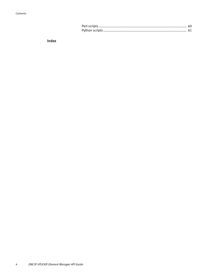Index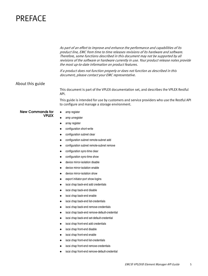<span id="page-4-0"></span>

As part of an effort to improve and enhance the performance and capabilities of its product line, EMC from time to time releases revisions of its hardware and software. Therefore, some functions described in this document may not be supported by all revisions of the software or hardware currently in use. Your product release notes provide the most up-to-date information on product features.

If a product does not function properly or does not function as described in this document, please contact your EMC representative.

#### About this guide

This document is part of the VPLEX documentation set, and describes the VPLEX Restful API.

This guide is intended for use by customers and service providers who use the Restful API to configure and manage a storage environment.

#### **New Commands for VPLEX** amp register

- amp unregister
- ◆ array register
- configuration short-write
- ◆ configuration subnet clear
- configuration subnet remote-subnet add
- ◆ configuration subnet remote-subnet remove
- configuration sync-time clear
- ◆ configuration sync-time show
- device mirror-isolation disable
- device mirror-isolation enable
- device mirror-isolation show
- ◆ export initiator-port show-logins
- iscsi chap back-end add credentials
- iscsi chap back-end disable
- iscsi chap back-end enable
- iscsi chap back-end list-credentials
- iscsi chap back-end remove-credentials
- iscsi chap back-end remove-default-credential
- iscsi chap back-end set-default-credential
- iscsi chap front-end add credentials
- iscsi chap front-end disable
- iscsi chap front-end enable
- iscsi chap front-end list-credentials
- iscsi chap front-end remove-credentials
- iscsi chap front-end remove-default-credential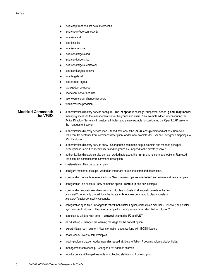- iscsi chap front-end set-default-credential
- iscsi check-febe-connectivity
- iscsi isns add
- iscsi isns list
- iscsi isns remove
- iscsi sendtargets add
- iscsi sendtargets list
- iscsi sendtargets rediscover
- iscsi sendtargets remove
- iscsi targets list
- iscsi targets logout
- storage-tool compose
- user event-server add-user
- ◆ user event-server change-password
- virtual-volume provision

#### **Modified Commands for VPLEX**

- ◆ authentication directory-service configure The **-m option** is no longer supported. Added **-g and -u options** for managing access to the management server by groups and users. New example added for configuring the Active Directory Service with custom attributes, and a new example for configuring the Open LDAP server on the management server.
	- ◆ authentication directory-service map Added note about the **-m**, **-u**, and **-g** command options. Removed ldap.conf file sentence from command description. Added new examples for user and user group mappings to VPLEX cluster.
	- ◆ authentication directory service show Changed the command output example and mapped principal description in Table 1 to specify users and/or groups are mapped to the directory server.
	- ◆ authentication directory-service unmap Added note about the **-m**, **-u**, and **-g** command options. Removed ldap.conf file sentence from command description.
	- cluster-status New output examples.
	- configure metadata-backups Added an Important note in the command description.
	- ◆ configuration connect-remote-directors New command options **--remote-ip** and **--force** and new examples.
	- configuration join-clusters New command option --remote-ip and new example.
	- configuration subnet clear New command to clear subnets in all subnet contexts in the new /clusters/\*/connectivity context. Use the legacy **subnet clear** command to clear subnets in /clusters/\*/cluster-connectivity/subnets.
	- ◆ configuration sync-time Changed to reflect that cluster 1 synchronizes to an external NTP server, and cluster 2 synchronizes to cluster 1. Replaced example for running a synchronization task on cluster 2.
	- ◆ connectivity validate-wan-com **--protocol** changed to **FC** and **UDT**
	- ds dd set-log Changed the warning message for the **cancel** option.
	- export initiator-port register New information about working with iSCSI initiators
	- health-check New output examples
	- logging-volume create Added new vias-based attribute to Table 17 Logging volume display fields.
	- management-server set-ip Changed IPv6 address example
	- monitor create Changed example for collecting statistics on front-end port.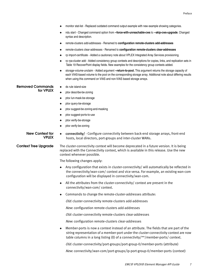|                                        | monitor stat-list - Replaced outdated command output example with new example showing categories.<br>٠                                                                                                                                                                                               |
|----------------------------------------|------------------------------------------------------------------------------------------------------------------------------------------------------------------------------------------------------------------------------------------------------------------------------------------------------|
|                                        | ndu start - Changed command option from --force-with-unreachable-cws to --skip-cws-upgrade. Changed<br>٠<br>syntax and description.                                                                                                                                                                  |
|                                        | remote-clusters add-addresses - Renamed to configuration remote-clusters add-addresses<br>٠                                                                                                                                                                                                          |
|                                        | remote-clusters clear-addresses - Renamed to configuration remote-clusters clear-addresses<br>٠                                                                                                                                                                                                      |
|                                        | rp import-certificate - Added a cautionary note about VPLEX Integrated Array Services provisioning.<br>٠                                                                                                                                                                                             |
|                                        | rp rpa-cluster add - Added consistency group contexts and descriptions for copies, links, and replication sets in<br>٠<br>Table 19 RecoverPoint display fields. New examples for the consistency group contexts added.                                                                               |
|                                        | storage-volume-unclaim - Added argument --return-to-pool. This argument returns the storage capacity of<br>٠<br>each VIAS-based volume to the pool on the corresponding storage array. Additional note about differing results<br>when using this command on VIAS and non-VIAS based storage arrays. |
| <b>Removed Commands</b>                | ds rule island-size<br>٠                                                                                                                                                                                                                                                                             |
| for VPLEX                              | ptov describe-be-zoning<br>٠                                                                                                                                                                                                                                                                         |
|                                        | ptov lun-mask-be-storage<br>٠                                                                                                                                                                                                                                                                        |
|                                        | ptov query-be-storage<br>٠                                                                                                                                                                                                                                                                           |
|                                        | ptov suggest-be-zoning-and-masking<br>٠                                                                                                                                                                                                                                                              |
|                                        | ptov suggest-ports-to-use                                                                                                                                                                                                                                                                            |
|                                        | ptov verify-be-storage                                                                                                                                                                                                                                                                               |
|                                        | ptov verify-be-zoning<br>٠                                                                                                                                                                                                                                                                           |
| <b>New Context for</b><br><b>VPLEX</b> | connectivity/ - Configure connectivity between back-end storage arrays, front-end<br>٠<br>hosts, local directors, port-groups and inter-cluster WANs.                                                                                                                                                |
| <b>Context Tree Upgrade</b>            | The cluster-connectivity context will become deprecated in a future version. It is being<br>replaced with the Connectivity context, which is available in this release. Use the new<br>context whenever possible.                                                                                    |
|                                        | The following changes apply:                                                                                                                                                                                                                                                                         |
|                                        | Any configuration that exists in cluster-connectivity/ will automatically be reflected in<br>٠<br>the connectivity/wan-com/ context and vice versa. For example, an existing wan-com<br>configuration will be displayed in connectivity/wan-com.                                                     |
|                                        | All the attributes from the cluster-connectivity/ context are present in the<br>٠<br>connectivity/wan-com/ context.                                                                                                                                                                                  |
|                                        | Commands to change the remote-cluster-addresses attribute:<br>٠                                                                                                                                                                                                                                      |
|                                        | Old: cluster-connectivity remote-clusters add-addresses                                                                                                                                                                                                                                              |
|                                        | New: configuration remote-clusters add-addresses                                                                                                                                                                                                                                                     |
|                                        | Old: cluster-connectivity remote-clusters clear-addresses                                                                                                                                                                                                                                            |
|                                        | New: configuration remote-clusters clear-addresses                                                                                                                                                                                                                                                   |
|                                        |                                                                                                                                                                                                                                                                                                      |
|                                        | Member-ports is now a context instead of an attribute. The fields that are part of the<br>٠<br>string representation of a member-port under the cluster-connectivity context are now<br>table columns in a long listing (II) of a connectivity/**/member-ports/ context.                             |
|                                        | Old: cluster-connectivity/port-groups/port-group-0/member-ports (attribute)                                                                                                                                                                                                                          |
|                                        | New: connectivity/wan-com/port-groups/ip-port-group-0/member-ports (context)                                                                                                                                                                                                                         |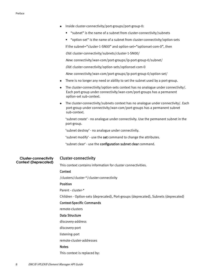- ◆ Inside cluster-connectivity/port-groups/port-group-0:
	- "subnet" is the name of a subnet from cluster-connectivity/subnets
	- "option-set" is the name of a subnet from cluster-connectivity/option-sets

If the subnet="cluster-1-SN00" and option-set="optionset-com-0", then

Old: cluster-connectivity/subnets/cluster-1-SN00/

New: connectivity/wan-com/port-groups/ip-port-group-0/subnet/

Old: cluster-connectivity/option-sets/optionset-com-0

New: connectivity/wan-com/port-groups/ip-port-group-0/option-set/

- ◆ There is no longer any need or ability to set the subnet used by a port-group.
- $\bullet$  The cluster-connectivity/option-sets context has no analogue under connectivity/. Each port-group under connectivity/wan-com/port-groups has a permanent option-set sub-context.
- ◆ The cluster-connectivity/subnets context has no analogue under connectivity/. Each port-group under connectivity/wan-com/port-groups has a permanent subnet sub-context.

'subnet create' - no analogue under connectivity. Use the permanent subnet in the port-group.

'subnet destroy' - no analogue under connectivity.

'subnet modify' - use the set command to change the attributes.

'subnet clear' - use the configuration subnet clear command.

**Cluster-connectivity Context (Deprecated)**

#### Cluster-connectivity

This context contains information for cluster connectivities.

#### **Context**

/clusters/cluster-\*/cluster-connectivity

#### Position

Parent - cluster-\*

Children - Option-sets (deprecated), Port-groups (deprecated), Subnets (deprecated)

#### Context-Specific Commands

remote-clusters

#### Data Structure

discovery-address

- discovery-port
- listening-port

remote-cluster-addresses

#### Notes

This context is replaced by: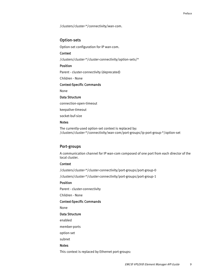/clusters/cluster-\*/connectivity/wan-com.

#### Option-sets

Option-set configuration for IP wan-com.

#### **Context**

/clusters/cluster-\*/cluster-connectivity/option-sets/\*

#### Position

Parent - cluster-connectivity (deprecated)

Children - None

#### Context-Specific Commands

None

#### Data Structure

connection-open-timeout

keepalive-timeout

socket-buf-size

#### Notes

The currently-used option-set context is replaced by: /clusters/cluster-\*/connectivity/wan-com/port-groups/ip-port-group-\*/option-set

#### Port-groups

A communication channel for IP wan-com composed of one port from each director of the local cluster.

#### **Context**

/clusters/cluster-\*/cluster-connectivity/port-groups/port-group-0

/clusters/cluster-\*/cluster-connectivity/port-groups/port-group-1

### Position

Parent - cluster-connectivity

Children - None

#### Context-Specific Commands

None

#### Data Structure

enabled

member-ports

option-set

subnet

# Notes

This context is replaced by Ethernet port-groups: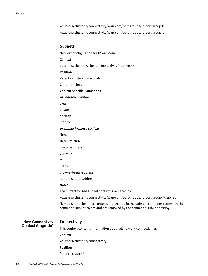/clusters/cluster-\*/connectivity/wan-com/port-groups/ip-port-group-0 /clusters/cluster-\*/connectivity/wan-com/port-groups/ip-port-group-1

#### **Subnets**

Network configuration for IP wan-com.

#### **Context**

/clusters/cluster-\*/cluster-connectivity/subnets/\*

#### Position

Parent - cluster-connectivity

Children - None

#### Context-Specific Commands

In container context:

clear

create

destroy

modify

#### In subnet instance context:

None

#### Data Structure

cluster-address

gateway

mtu

prefix

proxy-external-address

remote-subnet-address

#### **Notes**

The currently-used subnet context is replaced by:

/clusters/cluster-\*/connectivity/wan-com/port-groups/ip-port-group-\*/subnet

Named subnet instance contexts are created in the subnets container context by the command subnet create and are removed by the command subnet destroy.

**New Connectivity Context (Upgrade)**

#### Connectivity

This context contains information about all network connectivities.

#### Context

/clusters/cluster-\*/connectivity

#### Position

Parent - cluster-\*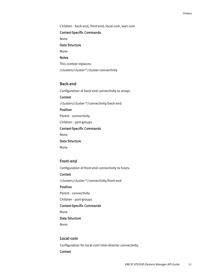Children - back-end, front-end, local-com, wan-com

#### Context-Specific Commands

None

#### Data Structure

None

# Notes

This context replaces: /clusters/cluster-\*/cluster-connectivity

#### Back-end

Configuration of back-end connectivity to arrays.

#### **Context**

/clusters/cluster-\*/connectivity/back-end

#### Position

Parent - connectivity

Children - port-groups

# Context-Specific Commands

None

### Data Structure

None

#### Front-end

Configuration of front-end connectivity to hosts.

### **Context**

/clusters/cluster-\*/connectivity/front-end

#### Position

Parent - connectivity

## Children - port-groups

### Context-Specific Commands

None

### Data Structure

None

## Local-com

Configuration for local-com inter-director connectivity.

#### **Context**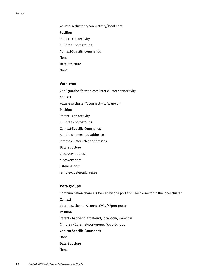#### /clusters/cluster-\*/connectivity/local-com

Position

Parent - connectivity

Children - port-groups

Context-Specific Commands

None

### Data Structure

None

#### Wan-com

Configuration for wan-com inter-cluster connectivity.

#### **Context**

/clusters/cluster-\*/connectivity/wan-com

#### Position

Parent - connectivity

Children - port-groups

#### Context-Specific Commands

remote-clusters add-addresses remote-clusters clear-addresses

#### Data Structure

discovery-address

discovery-port

listening-port

remote-cluster-addresses

#### Port-groups

Communication channels formed by one port from each director in the local cluster.

#### **Context**

/clusters/cluster-\*/connectivity/\*/port-groups

#### Position

Parent - back-end, front-end, local-com, wan-com

Children - Ethernet-port-group, Fc-port-group

#### Context-Specific Commands

None

## Data Structure

None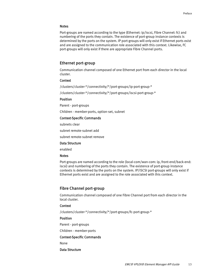#### Notes

Port-groups are named according to the type (Ethernet: ip/iscsi, Fibre Channel: fc) and numbering of the ports they contain. The existence of port-group instance contexts is determined by the ports on the system. IP port-groups will only exist if Ethernet ports exist and are assigned to the communication role associated with this context. Likewise, FC port-groups will only exist if there are appropriate Fibre Channel ports.

#### Ethernet port-group

Communication channel composed of one Ethernet port from each director in the local cluster.

#### Context

/clusters/cluster-\*/connectivity/\*/port-groups/ip-port-group-\*

/clusters/cluster-\*/connectivity/\*/port-groups/iscsi-port-group-\*

#### Position

Parent - port-groups

Children - member-ports, option-set, subnet

#### Context-Specific Commands

subnets clear

subnet remote-subnet add

subnet remote-subnet remove

#### Data Structure

enabled

#### Notes

Port-groups are named according to the role (local-com/wan-com: ip, front-end/back-end: iscsi) and numbering of the ports they contain. The existence of port-group instance contexts is determined by the ports on the system. IP/iSCSI port-groups will only exist if Ethernet ports exist and are assigned to the role associated with this context.

#### Fibre Channel port-group

Communication channel composed of one Fibre Channel port from each director in the local cluster.

#### **Context**

/clusters/cluster-\*/connectivity/\*/port-groups/fc-port-group-\*

#### Position

Parent - port-groups

Children - member-ports

#### Context-Specific Commands

None

#### Data Structure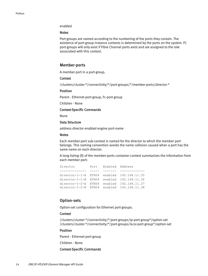#### enabled

#### Notes

Port-groups are named according to the numbering of the ports they contain. The existence of port-group instance contexts is determined by the ports on the system. FC port-groups will only exist if Fibre Channel ports exist and are assigned to the role associated with this context.

#### Member-ports

A member port in a port-group.

#### Context

/clusters/cluster-\*/connectivity/\*/port-groups/\*/member-ports/director-\*

#### Position

Parent - Ethernet-port-group, Fc-port-group

Children - None

#### Context-Specific Commands

None

#### Data Structure

address director enabled engine port-name

#### Notes

Each member-port sub-context is named for the director to which the member port belongs. This naming convention avoids the name collision caused when a port has the same name on each director.

A long listing (ll) of the member-ports container context summarizes the information from each member port:

```
Director Port Enabled Address
-------------- ----- ------- -------------
director-1-1-A ETH04 enabled 192.168.11.35
director-1-1-B ETH04 enabled 192.168.11.36
director-1-2-A ETH04 enabled 192.168.11.37
director-1-2-B ETH04 enabled 192.168.11.38
```
## Option-sets

Option-set configuration for Ethernet port-groups.

### **Context**

/clusters/cluster-\*/connectivity/\*/port-groups/ip-port-group\*/option-set /clusters/cluster-\*/connectivity/\*/port-groups/iscsi-port-group\*/option-set

#### Position

Parent - Ethernet-port-group

Children - None

#### Context-Specific Commands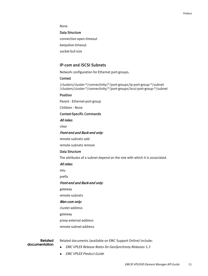#### None

### Data Structure

connection-open-timeout

keepalive-timeout

socket-buf-size

# IP-com and iSCSI Subnets

Network configuration for Ethernet port-groups.

#### **Context**

/clusters/cluster-\*/connectivity/\*/port-groups/ip-port-group-\*/subnet /clusters/cluster-\*/connectivity/\*/port-groups/iscsi-port-group-\*/subnet

#### Position

Parent - Ethernet-port-group

Children - None

#### Context-Specific Commands

#### All roles:

clear

#### Front-end and Back-end only:

remote-subnets add

remote-subnets remove

#### Data Structure

The attributes of a subnet depend on the role with which it is associated.

#### All roles:

mtu

prefix

#### Front-end and Back-end only:

gateway

remote-subnets

### Wan-com only:

cluster-address

gateway

proxy-external-address

remote-subnet-address

#### **Related documentation**

Related documents (available on EMC Support Online) include:

- **EMC VPLEX Release Notes for GeoSynchrony Releases 5.3**
- **EMC VPLEX Product Guide**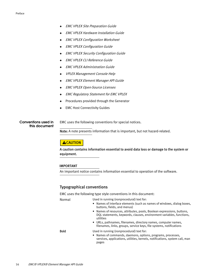- **EMC VPLEX Site Preparation Guide**
- **EMC VPLEX Hardware Installation Guide**
- **EMC VPLEX Configuration Worksheet**
- **EMC VPLEX Configuration Guide**
- **EMC VPLEX Security Configuration Guide**
- **EMC VPLEX CLI Reference Guide**
- **EMC VPLEX Administration Guide**
- **VPLEX Management Console Help**
- **EMC VPLEX Element Manager API Guide**
- **EMC VPLEX Open-Source Licenses**
- **EMC Regulatory Statement for EMC VPLEX**
- Procedures provided through the Generator
- **EMC Host Connectivity Guides**

**Conventions used in this document**

EMC uses the following conventions for special notices.

Note: A note presents information that is important, but not hazard-related.

# <u>CAUTION</u>

A caution contains information essential to avoid data loss or damage to the system or equipment.

#### IMPORTANT

An important notice contains information essential to operation of the software.

### Typographical conventions

EMC uses the following type style conventions in this document:

- Normal Used in running (nonprocedural) text for:
	- Names of interface elements (such as names of windows, dialog boxes, buttons, fields, and menus)
	- Names of resources, attributes, pools, Boolean expressions, buttons, DQL statements, keywords, clauses, environment variables, functions, utilities
	- URLs, pathnames, filenames, directory names, computer names, filenames, links, groups, service keys, file systems, notifications

- Bold Used in running (nonprocedural) text for:
	- Names of commands, daemons, options, programs, processes, services, applications, utilities, kernels, notifications, system call, man pages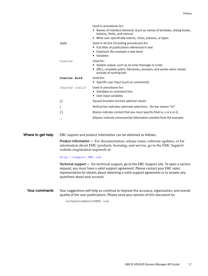|                   |                                                                                                                                                                                                                                                                                                                                                                                                                                                                                                                                             | Used in procedures for:<br>• Names of interface elements (such as names of windows, dialog boxes,<br>buttons, fields, and menus)<br>• What user specifically selects, clicks, presses, or types |  |
|-------------------|---------------------------------------------------------------------------------------------------------------------------------------------------------------------------------------------------------------------------------------------------------------------------------------------------------------------------------------------------------------------------------------------------------------------------------------------------------------------------------------------------------------------------------------------|-------------------------------------------------------------------------------------------------------------------------------------------------------------------------------------------------|--|
|                   | Italic                                                                                                                                                                                                                                                                                                                                                                                                                                                                                                                                      | Used in all text (including procedures) for:<br>• Full titles of publications referenced in text<br>• Emphasis (for example a new term)<br>• Variables                                          |  |
|                   | Courier                                                                                                                                                                                                                                                                                                                                                                                                                                                                                                                                     | Used for:<br>• System output, such as an error message or script<br>• URLs, complete paths, filenames, prompts, and syntax when shown<br>outside of running text                                |  |
|                   | Courier bold                                                                                                                                                                                                                                                                                                                                                                                                                                                                                                                                | Used for:<br>• Specific user input (such as commands)                                                                                                                                           |  |
|                   | Courier italic                                                                                                                                                                                                                                                                                                                                                                                                                                                                                                                              | Used in procedures for:<br>• Variables on command line<br>• User input variables                                                                                                                |  |
|                   | $\Box$                                                                                                                                                                                                                                                                                                                                                                                                                                                                                                                                      | Square brackets enclose optional values                                                                                                                                                         |  |
|                   |                                                                                                                                                                                                                                                                                                                                                                                                                                                                                                                                             | Vertical bar indicates alternate selections - the bar means "or"                                                                                                                                |  |
|                   | $\{\}$                                                                                                                                                                                                                                                                                                                                                                                                                                                                                                                                      | Braces indicate content that you must specify (that is, x or y or z)                                                                                                                            |  |
|                   |                                                                                                                                                                                                                                                                                                                                                                                                                                                                                                                                             | Ellipses indicate nonessential information omitted from the example                                                                                                                             |  |
| Where to get help |                                                                                                                                                                                                                                                                                                                                                                                                                                                                                                                                             | EMC support and product information can be obtained as follows.                                                                                                                                 |  |
|                   | Product information - For documentation, release notes, software updates, or for<br>information about EMC products, licensing, and service, go to the EMC Support<br>website (registration required) at:<br>http://support.EMC.com<br>Technical support - For technical support, go to the EMC Support site. To open a service<br>request, you must have a valid support agreement. Please contact your EMC sales<br>representative for details about obtaining a valid support agreement or to answer any<br>questions about your account. |                                                                                                                                                                                                 |  |
|                   |                                                                                                                                                                                                                                                                                                                                                                                                                                                                                                                                             |                                                                                                                                                                                                 |  |
|                   |                                                                                                                                                                                                                                                                                                                                                                                                                                                                                                                                             |                                                                                                                                                                                                 |  |
| Your comments     |                                                                                                                                                                                                                                                                                                                                                                                                                                                                                                                                             | Your suggestions will help us continue to improve the accuracy, organization, and overall<br>quality of the user publications. Please send your opinion of this document to:                    |  |
|                   | techpubcomments@EMC.com                                                                                                                                                                                                                                                                                                                                                                                                                                                                                                                     |                                                                                                                                                                                                 |  |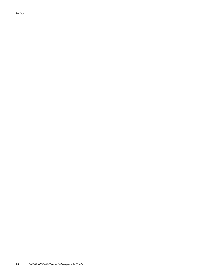Preface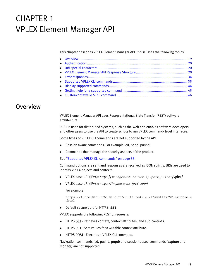# <span id="page-18-0"></span>CHAPTER 1 VPLEX Element Manager API

This chapter describes VPLEX Element Manager API. It discusses the following topics:

# <span id="page-18-2"></span><span id="page-18-1"></span>**Overview**

VPLEX Element Manager API uses Representational State Transfer (REST) software architecture.

REST is used for distributed systems, such as the Web and enables software developers and other users to use the API to create scripts to run VPLEX command- level interfaces.

Some types of VPLEX CLI commands are not supported by the API:

- ◆ Session aware commands. For example: cd, popd, pushd.
- ◆ Commands that manage the security aspects of the product.

See ["Supported VPLEX CLI commands" on page 35](#page-34-0).

Command options are sent and responses are received as JSON strings. URIs are used to identify VPLEX objects and contexts.

- ◆ VPLEX base URI (IPv4): https://*management-server-ip:port\_number*/vplex/
- ◆ VPLEX base URI (IPv6): https://[mgmtserver\_ipv6\_addr]

For example:

```
https://[3ffe:80c0:22c:803c:215:17ff:fed3:207]/smsflex/VPlexConsole
.html
```
◆ Default secure port for HTTPS: 443

VPLEX supports the following RESTful requests:

- ◆ HTTPS GET Retrieves context, context attributes, and sub-contexts.
- ◆ HTTPS PUT Sets values for a writable context attribute.
- HTTPS POST Executes a VPLEX CLI command.

Navigation commands (cd, pushd, popd) and session-based commands (capture and monitor) are not supported.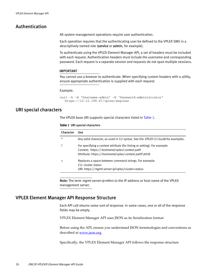# <span id="page-19-5"></span><span id="page-19-0"></span>Authentication

All system management operations require user authentication.

Each operation requires that the authenticating user be defined to the VPLEX SMS in a descriptively named role (service or admin, for example).

To authenticate using the VPLEX Element Manager API, a set of headers must be included with each request. Authentication headers must include the username and corresponding password. Each request is a separate session and requests do not span multiple sessions.

#### IMPORTANT

You cannot use a browser to authenticate. When specifying custom headers with a utility, ensure appropriate authentication is supplied with each request.

#### Example:

```
curl -k -H "Username:admin" -H "Password:administrator" 
  https://10.12.198.67/vplex/engines
```
# <span id="page-19-4"></span><span id="page-19-1"></span>URI special characters

The VPLEX base URI supports special characters listed in Table 1.

#### Table 1 URI special characters

| Character | Use                                                                                                                                                                                                                  |
|-----------|----------------------------------------------------------------------------------------------------------------------------------------------------------------------------------------------------------------------|
| $\star$   | Any valid character, as used in CLI syntax. See the VPLEX CLI Guide for examples.                                                                                                                                    |
|           | For specifying a context attribute (for listing or setting). For example:<br>Context: https:// <i>hostname</i> /vplex/ <i>context path</i><br>Attribute: https:// <i>hostname</i> /vplex/ <i>context path?attrib</i> |
|           | Replaces a space between command strings. For example:<br>CLI: cluster status<br>URI: https:// <i>mgmt-server-ip</i> /vplex/cluster+status                                                                           |

Note: The term *mgmt-server-ip* refers to the IP address or host name of the VPLEX management server.

# <span id="page-19-3"></span><span id="page-19-2"></span>VPLEX Element Manager API Response Structure

Each API call returns some sort of response. In some cases, one or all of the response fields may be empty.

VPLEX Element Manager API uses JSON as its Serialization format.

Before using the API, ensure you understand JSON terminologies and conventions as described at [www.json.org.](http://www.json.org)

Specifically, the VPLEX Element Manager API follows the response structure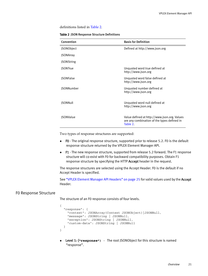definitions listed in Table 2.

| Convention        | <b>Basis for Definition</b>                                                                             |
|-------------------|---------------------------------------------------------------------------------------------------------|
| JSONObject        | Defined at http://www.json.org                                                                          |
| <b>JSONArray</b>  |                                                                                                         |
| <b>JSONString</b> |                                                                                                         |
| <b>JSONTrue</b>   | Unquoted word true defined at<br>http://www.json.org                                                    |
| <b>JSONFalse</b>  | Unquoted word false defined at<br>http://www.json.org                                                   |
| <b>JSONNumber</b> | Unquoted number defined at<br>http://www.json.org                                                       |
| <b>JSONNull</b>   | Unquoted word null defined at<br>http://www.json.org                                                    |
| <b>JSONValue</b>  | Value defined at http://www.json.org. Values<br>are any combination of the types defined in<br>Table 2. |

#### Table 2 JSON Response Structure Definitions

Two types of response structures are supported:

- ◆ F0 The original response structure, supported prior to release 5.2. F0 is the default response structure returned by the VPLEX Element Manager API.
- ◆ F1 The new response structure, supported from release 5.2 forward. The F1 response structure will co-exist with F0 for backward compatibility purposes. Obtain F1 response structure by specifying the HTTP Accept header in the request.

The response structures are selected using the Accept Header. F0 is the default if no Accept Header is specified.

See "VPLEX Element Manager API Headers" on page 25 for valid values used by the Accept Header.

#### <span id="page-20-0"></span>F0 Response Structure

The structure of an F0 response consists of four levels.

```
{
   "response": {
     "context": JSONArray(Context JSONObject)|JSONNull,
    "message": JSONString | JSONNull,
     "exception": JSONString | JSONNull,
     "custom-data": JSONString | JSONNull
  }
}
```
◆ Level 1: (**"response")** - The root JSONObject for this structure is named "response".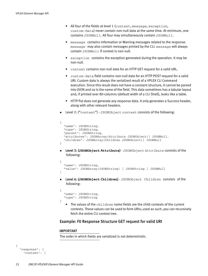- All four of the fields at level 1 (context, message, exception, custom-data) never contain non-null data at the same time. At minimum, one contains JSONNull. All four may simultaneously contain JSONNull.
- message contains Information or Warning messages related to the response. message may also contain messages printed by the CLI. message will always contain JSONNull if context is non-null.
- exception contains the exception generated during the operation. It may be non-null.
- context contains non-null data for an HTTP GET request for a valid URL.
- custom-data field contains non-null data for an HTTP POST request for a valid URI. Custom data is always the serialized result of a VPLEX CLI Command execution. Since this result does not have a constant structure, it cannot be parsed into JSON and so is the name of the field. This data sometimes has a tabular layout and, if printed over 80-columns (default width of a CLI Shell), looks like a table.
- HTTP Put does not generate any response data. It only generates a Success header, along with other relevant headers.
- ◆ Level 2: ("context") JSONObject context consists of the following:

```
{
   "name": JSONString,
   "type": JSONString,
   "parent": JSONString,
   "attributes": JSONArray(Attribute JSONObject)| JSONNull,
   "children": JSONArray(Children JSONObject)| JSONNull
}
```
◆ Level 3: (**JSONObject** A**ttribute**) - JSONObject Attribute consists of the following:

```
{
  "name": JSONString,
   "value": JSONArray(JSONString) | JSONString | JSONNull
}
```
◆ Level 4: (**JSONObject** C**hildren**) - JSONObject Children consists of the following:

```
{
   "name": JSONString,
   "type": JSONString
```
• The values of the children name fields are the child contexts of the current contexts. These values can be used to form URIs; used as such, you can recursively fetch the entire CLI context tree.

### Example: F0 Response Structure GET request for valid URI

#### IMPORTANT

}

The order in which fields are serialized is not deterministic.

```
{
   "response": {
     "context": [
```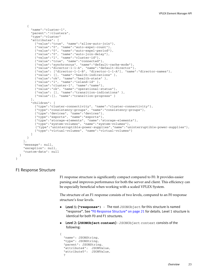```
 {
        "name":"cluster-1",
        "parent":"/clusters",
         "type":"cluster"
        "attributes": [
          {"value":"true", "name":"allow-auto-join"},
          {"value":"0", "name":"auto-expel-count"},
          {"value":"0", "name":"auto-expel-period"},
 {"value":"0", "name":"auto-join-delay"}, 
 {"value":"1", "name":"cluster-id"},
          {"value":"true", "name":"connected"},
          {"value":"synchronous", "name":"default-cache-mode"},
          {"value":"director-1-1-A", "name":"default-director"},
          {"value": ["director-1-1-B", "director-1-1-A"], "name":"director-names"},
          {"value": [], "name":"health-indications" },
 {"value":"ok", "name":"health-state" },
 {"value":"1", "name":"island-id" },
          {"value":"cluster-1", "name":"name"},
          {"value":"ok", "name":"operational-status"},
          {"value": [], "name":"transition-indications" },
          {"value":[], "name":"transition-progress" }
        ],
        "children": [
 {"type":"cluster-connectivity", "name":"cluster-connectivity"},
 {"type":"consistency-groups", "name":"consistency-groups"},
 {"type":"devices", "name":"devices"},
 {"type":"exports", "name":"exports"},
          {"type":"storage-elements", "name":"storage-elements"},
          {"type":"system-volumes", "name":"system-volumes"},
           {"type":"uninterruptible-power-supplies","name":"uninterruptible-power-supplies"},
          {"type":"virtual-volumes", "name":"virtual-volumes"}
        ]
      }
    ],
     "message": null,
    "exception": null,
    "custom-data": null
  }
```
#### <span id="page-22-0"></span>F1 Response Structure

}

F1 response structure is significantly compact compared to F0. It provides easier parsing and improves performance for both the server and client. This efficiency can be especially beneficial when working with a scaled VPLEX System.

<span id="page-22-1"></span>The structure of an F1 response consists of two levels, compared to an F0 response structure's four levels.

- Level 1: (**"response"**) The root JSONObject for this structure is named "response". See "F0 Response Structure" on page 21 for details. Level 1 structure is identical for both F0 and F1 structures.
- ◆ Level 2: (**JSONObject context**) JSONObject context consists of the following:

```
{
   "name": JSONString,
   "type": JSONString,
   "parent": JSONString,
   "attribute4": JSONValue,
   "attribute5": JSONValue,
   ?
```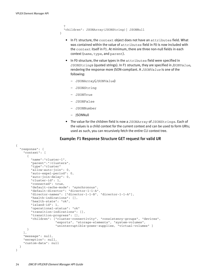```
 ?
   "children": JSONArray(JSONString)| JSONNull
}
```
- In F1 structure, the context object does not have an attributes field. What was contained within the value of attributes field in F0 is now included with the context itself in F1. At minimum, there are three non-null fields in each context (name, type, and parent).
- In F0 structure, the value types in the attributes field were specified in JSONStrings (quoted strings). In F1 structure, they are specified in J*SONValue*, rendering the response more JSON-compliant. A *JSONValue* is one of the following:
	- JSONArray(*JSONValue*)
	- JSONString
	- JSONTrue
	- JSONFalse
	- JSONNumber
	- JSONNull
- The value for the children field is now a JSONArray of JSONStrings. Each of the values is a child context for the current context and can be used to form URIs; used as such, you can recursively fetch the entire CLI context tree.

# Example: F1 Response Structure GET request for valid UR

```
{
   "response": {
     "context": [
       {
         "name":"cluster-1",
         "parent":"/clusters",
         "type":"cluster"
         "allow-auto-join": 0,
         "auto-expel-period": 0,
         "auto-join-delay": 0,
         "cluster-id": 1,
         "connected": true,
         "default-cache-mode": "synchronous",
         "default-director": "director-1-1-A",
         "director-names": ["director-1-1-B", "director-1-1-A"],
         "health-indications": [],
         "health-state": "ok",
         "island-id": 1,
         "operational-status": "ok"
         "transition-indications": [],
         "transition-progress": [],
         "children": ["cluster-connectivity", "consistency-groups", "devices", 
                        "exports", "storage-elements", "system-volumes", 
                        "uninterruptible-power-supplies, "virtual-volumes" ]
       }
    \frac{1}{2},
     "message": null,
     "exception": null,
     "custom-data": null
  }
}
```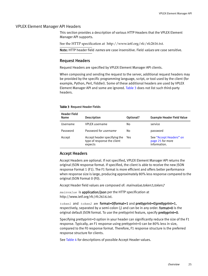#### <span id="page-24-0"></span>VPLEX Element Manager API Headers

This section provides a description of various HTTP Headers that the VPLEX Element Manager API supports.

See the HTTP specification at http://www.ietf.org/rfc/rfc2616.txt.

Note: HTTP header field *names* are case insensitive. Field *values* are case sensitive.

#### <span id="page-24-2"></span>Request Headers

Request Headers are specified by VPLEX Element Manager API clients.

When composing and sending the request to the server, additional request headers may be provided by the specific programming language, script, or tool used by the client (for example, Python, Perl, Fiddler). Some of these additional headers are used by VPLEX Element Manager API and some are ignored. Table 3 does not list such third-party headers.

#### Table 3 Request Header Fields

| <b>Header Field</b><br>Name | <b>Description</b>                                                     | Optional? | Example Header Field Value                                  |
|-----------------------------|------------------------------------------------------------------------|-----------|-------------------------------------------------------------|
| Username                    | <b>VPLEX</b> username                                                  | No        | service                                                     |
| Password                    | Password for <i>username</i>                                           | No        | password                                                    |
| Accept                      | Accept header specifying the<br>type of response the client<br>expects | Yes       | See "Accept Headers" on<br>page 25 for more<br>information. |

#### <span id="page-24-1"></span>Accept Headers

Accept Headers are optional. If not specified, VPLEX Element Manager API returns the original JSON response format. If specified, the client is able to receive the new JSON response Format 1 (F1). The F1 format is more efficient and offers better performance when response size is large, producing approximately 80% less response compared to the original JSON Format 0 (F0).

Accept Header field values are composed of: mainvalue; token1; token2

*mainvalue* is application/json per the HTTP specification at http://www.ietf.org/rfc/rfc2616.txt.

*token1* and *token2* are format=0|format=1 and prettyprint=0|prettyprint=1, respectively, separated by a semi-colon  $\left( \cdot \right)$  and can be in any order. **format=0** is the original default JSON format. To use the prettyprint feature, specify prettyprint=0.

Specifying prettyprint=0 option in your header can significantly reduce the size of the F1 response. Typically, an F1 response using prettyprint=0 can be 80% less in size, compared to the F0 response format. Therefore, F1 response structure is the preferred response structure for clients.

See Table 4 for descriptions of possible Accept Header values.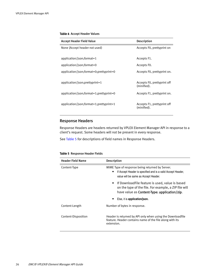#### Table 4 Accept Header Values

| <b>Accept Header Field Value</b>        | Description                                |
|-----------------------------------------|--------------------------------------------|
| None (Accept header not used)           | Accepts F0, prettyprint on                 |
|                                         |                                            |
| application/json;format=1               | Accepts F1.                                |
| $application/ison; format = 0$          | Accepts F0.                                |
| application/json;format=0;prettyprint=0 | Accepts F0, prettyprint on.                |
|                                         |                                            |
| $application/ison; pretty print=1$      | Accepts F0, prettyprint off<br>(minified). |
| application/json;format=1;prettyprint=0 | Accepts F1, prettyprint on.                |
| application/json;format=1;prettyprint=1 | Accepts F1, prettyprint off<br>(minified). |

# <span id="page-25-0"></span>Response Headers

Response Headers are headers returned by VPLEX Element Manager API in response to a client's request. Some headers will not be present in every response.

See Table 5 for descriptions of field names in Response Headers.

Table 5 Response Header Fields

| <b>Header Field Name</b> | <b>Description</b>                                                                                                                                                    |
|--------------------------|-----------------------------------------------------------------------------------------------------------------------------------------------------------------------|
| Content-Type             | MIME Type of response being returned by Server.<br>If Accept Header is specified and is a valid Accept Header,<br>٠<br>value will be same as Accept Header.           |
|                          | If DownloadFile feature is used, value is based<br>$\bullet$<br>on the type of the file. For example, a ZIP file will<br>have value as Content-Type: application/zip. |
|                          | Else, it is application/json.                                                                                                                                         |
| Content-Length           | Number of bytes in response.                                                                                                                                          |
| Content-Disposition      | Header is returned by API only when using the Downloadfile<br>feature. Header contains name of the file along with its<br>extension.                                  |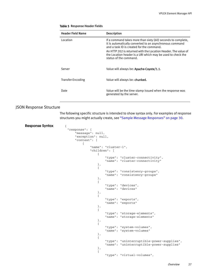| <b>Header Field Name</b> | <b>Description</b>                                                                                                                                                                                                                                                                                                               |
|--------------------------|----------------------------------------------------------------------------------------------------------------------------------------------------------------------------------------------------------------------------------------------------------------------------------------------------------------------------------|
| Location                 | If a command takes more than sixty (60) seconds to complete,<br>it is automatically converted to an asynchronous command<br>and a task ID is created for the command.<br>An HTTP 202 is returned with the Location Header. The value of<br>the Location header is a URI which may be used to check the<br>status of the command. |
| Server                   | Value will always be: Apache-Coyote/1.1.                                                                                                                                                                                                                                                                                         |
| Transfer-Encoding        | Value will always be: chunked.                                                                                                                                                                                                                                                                                                   |
| Date                     | Value will be the time stamp issued when the response was<br>generated by the server.                                                                                                                                                                                                                                            |

#### Table 5 Response Header Fields

#### JSON Response Structure

The following specific structure is intended to show syntax only. For examples of response structures you might actually create, see "Sample Message Responses" on page 30.

```
Response Syntax {
                 "response": {
                    "message": null,
                    "exception": null,
                    "context": [
             \{"name": "cluster-1",
                          "children": [
             {
                                "type": "cluster-connectivity",
                                "name": "cluster-connectivity"
              },
              {
                                "type": "consistency-groups",
                                "name": "consistency-groups"
             \},
             {
                                "type": "devices",
                                "name": "devices"
                             },
             {
                                "type": "exports",
                                "name": "exports"
              },
              {
                                "type": "storage-elements",
                                "name": "storage-elements"
                             },
             {
                                "type": "system-volumes",
                                "name": "system-volumes"
              },
             {
                                "type": "uninterruptible-power-supplies",
                                "name": "uninterruptible-power-supplies"
              },
              {
                                "type": "virtual-volumes",
```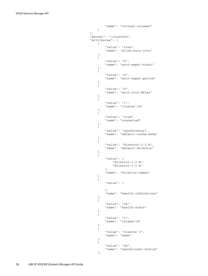```
 "name": "virtual-volumes"
 }
          \cdot "parent": "/clusters",
           "attributes": [
 {
                "value": "true",
               "name": "allow-auto-join"
\},
{
                "value": "0",
                "name": "auto-expel-count"
 },
{
                "value": "0",
                "name": "auto-expel-period"
             },
 {
               "value": "0",
                "name": "auto-join-delay"
             },
{
                "value": "1",
                "name": "cluster-id"
 },
{
               "value": "true",
                "name": "connected"
 },
 {
 "value": "synchronous",
 "name": "default-cache-mode"
\},
{
                "value": "director-1-1-A",
                "name": "default-director"
 },
{
                "value": [
                  "director-1-1-B",
                  "director-1-1-A"
\sim 1.
                "name": "director-names"
             },
 {
               "value": [
\sim 1.
                "name": "health-indications"
             },
 {
                "value": "ok",
                "name": "health-state"
\},
{
               "value": "1",
               "name": "island-id"
             },
{
 "value": "cluster-1",
 "name": "name"
             },
 {
                "value": "ok",
               "name": "operational-status"
             },
```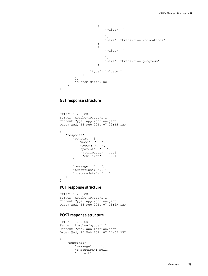```
{
                    "value": [
\mathbf{I}, \mathbf{I}, \mathbf{I} "name": "transition-indications"
\},
{
                    "value": [
\mathbf{I}, \mathbf{I}, \mathbf{I} "name": "transition-progress"
 }
              ],
              "type": "cluster"
 }
       ],
       "custom-data": null
   }
}
```
### <span id="page-28-0"></span>GET response structure

```
HTTP/1.1 200 OK
Server: Apache-Coyote/1.1
Content-Type: application/json
Date: Wed, 16 Feb 2011 07:09:35 GMT
{
    "response": {
        "context": [
           "name": "...",
           "type": "...",
            "parent": "...",
            "attributes": [...],
             "children" : [...]
        }
      ],
 "message": "...",
 "exception": "...",
 "custom-data": "..."
    }
}
```
## <span id="page-28-1"></span>PUT response structure

HTTP/1.1 200 OK Server: Apache-Coyote/1.1 Content-Type: application/json Date: Wed, 16 Feb 2011 07:11:49 GMT

# <span id="page-28-2"></span>POST response structure

```
HTTP/1.1 200 OK
Server: Apache-Coyote/1.1
Content-Type: application/json
Date: Wed, 16 Feb 2011 07:24:06 GMT
{
     "response": {
         "message": null,
         "exception": null,
         "context": null,
```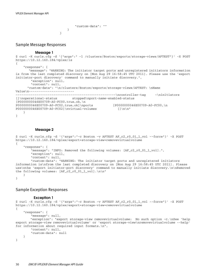"custom-data": "" }

#### Sample Message Responses

#### **Message 1**

}

```
$ curl -K curls.cfg -d '{"args":" -l /clusters/Boston/exports/storage-views/AFTEST"}' -X POST 
https://10.12.160.184/vplex/ls
{
     "response": {
        "message": "WARNING: The initiator target ports and unregistered initiators information 
is from the last completed discovery on [Mon Aug 29 16:58:45 UTC 2011]. Please use the 'export 
initiator-port discovery' command to manually initiate discovery.",
         "exception": null,
         "context": null,
       "custom-data": "\n/clusters/Boston/exports/storage-views/AFTEST: \nName 
Value\n------------------------ 
-----------------------------------------------------\ncontroller-tag -\ninitiators 
[]\noperational-status stopped\nport-name-enabled-status 
[P0000000046E00709-A0-FC00,true,ok,\n 
P0000000046E00709-A0-FC02,true,ok]\nports [P0000000046E00709-A0-FC00,\n 
P0000000046E00709-A0-FC02]\nvirtual-volumes []\n\n"
    }
}
```
#### **Message 2**

\$ curl -K curls.cfg -d '{"args":"-c Boston -v AFTEST AF\_c2\_r0\_01\_1\_vol --force"}' -X POST https://10.12.160.184/vplex/export+storage-view+removevirtualvolume { "response": { "message": "INFO: Removed the following volumes: [AF\_c2\_r0\_01\_1\_vol].", "exception": null, "context": null, "custom-data": "WARNING: The initiator target ports and unregistered initiators information is\nfrom the last completed discovery on [Mon Aug 29 16:58:45 UTC 2011]. Please use\nthe 'export initiator-port discovery' command to manually initiate discovery.\n\nRemoved the following volumes: [AF\_c2\_r0\_01\_1\_vol].\n\n" } }

### Sample Exception Responses

#### **Exception 1**

```
$ curl -K curls.cfg -d '{"args":"-c Boston -v AFTEST AF_c2_r0_01_1_vol --force"}' -X POST 
https://10.12.160.184/vplex/export+storage-view+removevirtualvolume
{
     "response": {
         "message": null,
         "exception": "export storage-view removevirtualvolume: No such option -c.\nSee 'help 
export storage-view removevirtualvolume' or 'export storage-view\nremovevirtualvolume --help' 
for information about required input formats.\n",
         "context": null,
         "custom-data": null
     }
}
```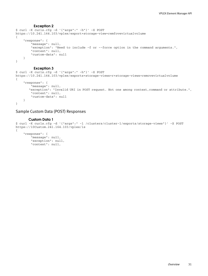#### **Exception 2**

```
$ curl -K curls.cfg -d '{"args":" -h"}' -X POST 
https://10.241.164.103/vplex/export+storage-view+remfovevirtualvolume
{
     "response": {
         "message": null,
         "exception": "Need to include -f or --force option in the command arguments.",
         "context": null,
         "custom-data": null
     }
}
```
#### **Exception 3**

```
$ curl -K curls.cfg -d '{"args":" -h"}' -X POST 
https://10.241.164.103/vplex/exports+storage-views+r+storage-views+removevirtualvolume
{
     "response": {
         "message": null,
        "exception": "Invalid URI in POST request. Not one among context,command or attribute.",
         "context": null,
         "custom-data": null
     }
}
```
## Sample Custom Data (POST) Responses

#### **Custom Data 1**

```
$ curl -K curls.cfg -d '{"args":" -l /clusters/cluster-1/exports/storage-views"}' -X POST 
https://10Custom.241.164.103/vplex/ls
{
     "response": {
         "message": null,
         "exception": null,
         "context": null,
```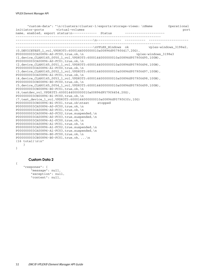"custom-data": "\n/clusters/cluster-1/exports/storage-views: \nName Operational initiator-ports virtual-volumes **point in the set of the set of the set of the set of the set of the set of the** name, enabled, export status\n------------- Status ---------------------------------------------------------------------------------------------------- -----------------------------------------\n------------- ----------- --------------------- ----------------------------------------------------------------------------- -----------------------------------------\nVPLEX\_Windows ok vplex-windows\_3198e2, (0,DEVICETEST\_1\_vol,VPD83T3:6000144000000010a00896d9579f6417,20G), P000000003CA00896-A0-FC00,true,ok,\n vplex-windows\_3198e3 (1,device\_CLAR0145\_0050\_1\_vol,VPD83T3:6000144000000010a00896d9579f6495,100M), P000000003CA00896-A0-FC01, true, ok, \n (2,device\_CLAR0145\_0051\_1\_vol,VPD83T3:6000144000000010a00896d9579f6496,100M), P000000003CA00896-A1-FC00,true,ok,\n (3,device\_CLAR0145\_0052\_1\_vol,VPD83T3:6000144000000010a00896d9579f6497,100M), P000000003CA00896-A1-FC01, true, ok, \n (4,device\_CLAR0145\_0053\_1\_vol,VPD83T3:6000144000000010a00896d9579f6498,100M), P000000003CB00896-B0-FC00,true,ok,\n (5,device\_CLAR0145\_0054\_1\_vol,VPD83T3:6000144000000010a00896d9579f6499,100M), P000000003CB00896-B0-FC01,true,ok,\n (6,testdev\_vol,VPD83T3:6000144000000010a00896d9579f6454,20G), P000000003CB00896-B1-FC00,true,ok,\n (7,test\_device\_1\_vol,VPD83T3:6000144000000010a00896d9579f63fc,10G) P000000003CB00896-B1-FC01, true, ok\ntest stopped P000000003CA00896-A0-FC00,true,ok,\n P000000003CA00896-A0-FC01,true,ok,\n P000000003CA00896-A0-FC02, true, suspended, \n P000000003CA00896-A0-FC03, true, suspended, \n P000000003CA00896-A1-FC00,true,ok,\n P000000003CA00896-A1-FC01, true, ok, \n P000000003CA00896-A1-FC02, true, suspended, \n P000000003CA00896-A1-FC03, true, suspended, \n P000000003CB00896-B0-FC00,true,ok,\n P000000003CB00896-B0-FC01,true,ok, ...\n  $(16 \text{total}) \n\times$ " } }

```
Custom Data 2
```

```
 "response": {
     "message": null,
     "exception": null,
```
{

```
 "context": null,
```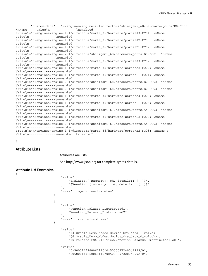"custom-data": "\n/engines/engine-2-1/directors/shinigami\_68/hardware/ports/B0-FC00: \nName Value\n------- -----\nenabled true\n\n\n/engines/engine-1-1/directors/marta\_35/hardware/ports/A3-FC01: \nName Value\n------- -----\nenabled true\n\n\n/engines/engine-1-1/directors/marta\_35/hardware/ports/A2-FC03: \nName Value\n------- -----\nenabled true\n\n\n/engines/engine-1-1/directors/marta\_36/hardware/ports/B1-FC02: \nName Value\n------- -----\nenabled true\n\n\n/engines/engine-2-1/directors/shinigami\_68/hardware/ports/B0-FC01: \nName Value\n------- -----\nenabled true\n\n\n/engines/engine-1-1/directors/marta\_35/hardware/ports/A3-FC02: \nName Value\n------- -----\nenabled true\n\n\n/engines/engine-1-1/directors/marta\_35/hardware/ports/A2-FC02: \nName Value\n------- -----\nenabled true\n\n\n/engines/engine-1-1/directors/marta\_36/hardware/ports/B1-FC01: \nName Value\n------- -----\nenabled true\n\n\n/engines/engine-2-1/directors/shinigami 68/hardware/ports/B0-FC02: \nName Value\n------- -----\nenabled true\n\n\n/engines/engine-2-1/directors/shinigami\_68/hardware/ports/B0-FC03: \nName Value\n------- -----\nenabled true\n\n\n/engines/engine-1-1/directors/marta\_35/hardware/ports/A3-FC00: \nName Value\n------- -----\nenabled true\n\n\n/engines/engine-1-1/directors/marta\_36/hardware/ports/B1-FC03: \nName Value\n------- -----\nenabled true\n\n\n/engines/engine-2-1/directors/shinigami\_67/hardware/ports/A4-FC03: \nName Value\n------- -----\nenabled true\n\n\n/engines/engine-1-1/directors/marta\_36/hardware/ports/B2-FC02: \nName Value\n------- -----\nenabled true\n\n\n/engines/engine-2-1/directors/shinigami\_67/hardware/ports/A4-FC02: \nName Value\n------- -----\nenabled true\n\n\n/engines/engine-1-1/directors/marta\_36/hardware/ports/B2-FC03: \nName e Value\n------- -----\nenabled true\n\n" } }

### Attribute Lists

{

Attributes are lists.

See http://www.json.org for complete syntax details.

#### **Attribute List Examples**

```
 "value": [
                            "(Palazzo,{ summary:: ok, details:: [] })",
                            "(Venetian,{ summary:: ok, details:: [] })"
\mathbf{I}, \mathbf{I}, \mathbf{I} "name": "operational-status"
 },
 {
                        "value": [
                            "Venetian_Palazzo_Distributed1",
                            "Venetian_Palazzo_Distributed2"
\mathbf{I}, \mathbf{I}, \mathbf{I} "name": "virtual-volumes"
 },
                        "value": [
                            "{3,Oracle_Demo_Nodes,device_Ora_data_1_vol,ok}",
                            "{6,Oracle_Demo_Nodes,device_Ora_data_4_vol,ok}",
                            "{0,Palazzo_ESX_212_View,Venetian_Palazzo_Distributed1,ok}",
                        "value": [
                            "0x5000144260061110/0x50000972c00d2998/0",
                            "0x5000144260061110/0x50000972c00d299c/0",
```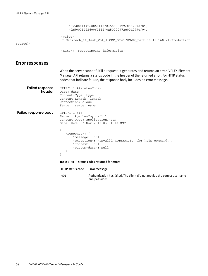|          | $"0x5000144260061112/0x50000972c00d2998/0"$<br>$"0x5000144260061112/0x50000972c00d299c/0",$ |
|----------|---------------------------------------------------------------------------------------------|
| Source)" | "value": [<br>"(Meditech RP Test Vol 1, CDP DEMO, VPLEX Left, 10.12.160.21, Production      |
|          | "name": "recoverpoint-information"                                                          |

# <span id="page-33-1"></span><span id="page-33-0"></span>Error responses

When the server cannot fulfill a request, it generates and returns an error. VPLEX Element Manager API returns a status code in the header of the returned error. For HTTP status codes that indicate failure, the response body includes an error message.

| <b>Failed response</b><br>header | $HTTP/1.1$ #{statusCode}<br>Date: date<br>Content-Type: type<br>Content-Length: length<br>Connection: close<br>Server: server name                                                                                                                               |
|----------------------------------|------------------------------------------------------------------------------------------------------------------------------------------------------------------------------------------------------------------------------------------------------------------|
| <b>Failed response body</b>      | HTTP/1.1 516<br>Server: Apache-Coyote/1.1<br>Content-Type: application/json<br>Date: Wed, 03 Nov 2010 03:31:10 GMT<br>"response": $\{$<br>"message": $null,$<br>"exception": "Invalid argument(s) for help command.",<br>"context": null,<br>"custom-data": null |

Table 6 HTTP status codes returned for errors

| HTTP status code Error message |                                                                                             |
|--------------------------------|---------------------------------------------------------------------------------------------|
| 401                            | Authentication has failed. The client did not provide the correct username<br>and password. |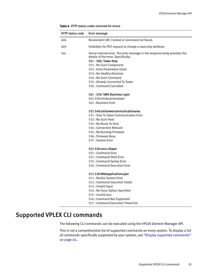|  |  | <b>Table 6 HTTP status codes returned for errors</b> |  |
|--|--|------------------------------------------------------|--|
|--|--|------------------------------------------------------|--|

| <b>HTTP status code</b> | Error message                                                                                                     |
|-------------------------|-------------------------------------------------------------------------------------------------------------------|
| 404                     | Nonexistent URI. Context or command not found.                                                                    |
| 403                     | Forbidden for PUT request to change a read-only attribute.                                                        |
| 5xx                     | Server internal error. The error message in the response body provides the<br>details of the error. Specifically: |
|                         | 551 - 560: Tower Area                                                                                             |
|                         | 551 : No Such Component                                                                                           |
|                         | 552 : Extra Parameters Given                                                                                      |
|                         | 553 : No Healthy Directors                                                                                        |
|                         | 554 : No Such Command                                                                                             |
|                         | 555 : Already Connected To Tower                                                                                  |
|                         | 556 : Command Cancelled                                                                                           |
|                         | 541 - 550: SMS Business Layer                                                                                     |
|                         | 541-550:smsbusinesslayer                                                                                          |
|                         | 541 : Business Error                                                                                              |
|                         | 531-540:smstowercommunicationarea                                                                                 |
|                         | 531 : Sms To Tower Communication Error                                                                            |
|                         | 532: No Such Host                                                                                                 |
|                         | 533 : No Route To Host                                                                                            |
|                         | 534 : Connection Refused                                                                                          |
|                         | 535 : No Running Firmware                                                                                         |
|                         | 536 : Firmware Busy                                                                                               |
|                         | 537: System Error                                                                                                 |
|                         | 521-530:sms-clilayer                                                                                              |
|                         | 521 : Command Error                                                                                               |
|                         | 522: Command Shell Error                                                                                          |
|                         | 523 : Command Syntax Error                                                                                        |
|                         | 524 : Command Execution Error                                                                                     |
|                         | 511-520: Webapplication Layer                                                                                     |
|                         | 511 : Restful System Error                                                                                        |
|                         | 512 : Command Execution Failed                                                                                    |
|                         | 513 : Invalid Input                                                                                               |
|                         | 514 : No Force Option Specified                                                                                   |
|                         | 515 : Invalid Json                                                                                                |
|                         | 516 : Command Not Supported                                                                                       |
|                         | 517 : Command Execution Timed Out                                                                                 |

# <span id="page-34-1"></span><span id="page-34-0"></span>Supported VPLEX CLI commands

The following CLI commands can be executed using the VPLEX Element Manager API.

This is not a comprehensive list of supported commands on every system. To display a list of commands specifically supported by your system, see ["Display supported commands"](#page-43-0)  [on page 44](#page-43-0).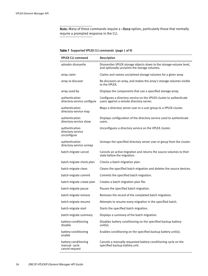Note: Many of these commands require a --force option, particularly those that normally require a prompted response in the CLI.

| <b>VPLEX CLI command</b>                               | Description                                                                                                        |
|--------------------------------------------------------|--------------------------------------------------------------------------------------------------------------------|
| advadm dismantle                                       | Dismantles VPLEX storage objects down to the storage-volume level,<br>and optionally unclaims the storage volumes. |
| array claim                                            | Claims and names unclaimed storage volumes for a given array                                                       |
| array re-discover                                      | Re-discovers an array, and makes the array's storage volumes visible<br>to the VPLEX.                              |
| array used-by                                          | Displays the components that use a specified storage-array.                                                        |
| authentication<br>directory-service configure          | Configures a directory service on the VPLEX cluster to authenticate<br>users against a remote directory server.    |
| authentication<br>directory-service map                | Maps a directory server user or a user group to a VPLEX cluster.                                                   |
| authentication<br>directory-service show               | Displays configuration of the directory service used to authenticate<br>users.                                     |
| authentication<br>directory-service<br>unconfigure     | Unconfigures a directory service on the VPLEX cluster.                                                             |
| authentication<br>directory-service unmap              | Unmaps the specified directory server user or group from the cluster.                                              |
| batch-migrate cancel                                   | Cancels an active migration and returns the source volumes to their<br>state before the migration.                 |
| batch-migrate check-plan                               | Checks a batch migration plan.                                                                                     |
| batch-migrate clean                                    | Cleans the specified batch migration and deletes the source devices.                                               |
| batch-migrate commit                                   | Commits the specified batch migration.                                                                             |
| batch-migrate create-plan                              | Creates a batch migration plan file.                                                                               |
| batch-migrate pause                                    | Pauses the specified batch migration.                                                                              |
| batch-migrate remove                                   | Removes the record of the completed batch migration.                                                               |
| batch-migrate resume                                   | Attempts to resume every migration in the specified batch.                                                         |
| batch-migrate start                                    | Starts the specified batch migration.                                                                              |
| batch-migrate summary                                  | Displays a summary of the batch migration.                                                                         |
| battery-conditioning<br>disable                        | Disables battery conditioning on the specified backup battery<br>$unit(s)$ .                                       |
| battery-conditioning<br>enable                         | Enables conditioning on the specified backup battery unit(s).                                                      |
| battery-conditioning<br>manual-cycle<br>cancel-request | Cancels a manually requested battery conditioning cycle on the<br>specified backup battery unit.                   |

#### Table 7 Supported VPLEX CLI commands (page 1 of 9)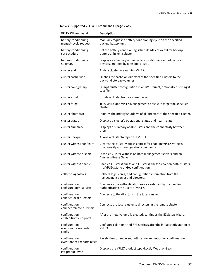| <b>VPLEX CLI command</b>                         | Description                                                                                                   |
|--------------------------------------------------|---------------------------------------------------------------------------------------------------------------|
| battery-conditioning<br>manual-cycle request     | Manually request a battery conditioning cycle on the specified<br>backup battery unit.                        |
| battery-conditioning<br>set-schedule             | Set the battery conditioning schedule (day of week) for backup<br>battery units on a cluster.                 |
| battery-conditioning<br>summary                  | Displays a summary of the battery conditioning schedule for all<br>devices, grouped by type and cluster.      |
| cluster add                                      | Adds a cluster to a running VPLEX.                                                                            |
| cluster cacheflush                               | Flushes the cache on directors at the specified clusters to the<br>back-end storage volumes.                  |
| cluster configdump                               | Dumps cluster configuration in an XML format, optionally directing it<br>to a file.                           |
| cluster expel                                    | Expels a cluster from its current island.                                                                     |
| cluster forget                                   | Tells VPLEX and VPLEX Management Console to forget the specified<br>cluster.                                  |
| cluster shutdown                                 | Initiates the orderly shutdown of all directors at the specified cluster.                                     |
| cluster status                                   | Displays a cluster's operational status and health state.                                                     |
| cluster summary                                  | Displays a summary of all clusters and the connectivity between<br>them.                                      |
| cluster unexpel                                  | Allows a cluster to rejoin the VPLEX.                                                                         |
| cluster-witness configure                        | Creates the cluster-witness context for enabling VPLEX Witness<br>functionality and configuration commands.   |
| cluster-witness disable                          | Disables Cluster Witness on both management servers and on<br>Cluster Witness Server.                         |
| cluster-witness enable                           | Enables Cluster Witness and Cluster Witness Server on both clusters<br>in a VPLEX Metro or Geo configuration. |
| collect-diagnostics                              | Collects logs, cores, and configuration information from the<br>management server and directors.              |
| configuration<br>configure-auth-service          | Configures the authentication service selected by the user for<br>authenticating the users of VPLEX.          |
| configuration<br>connect-local-directors         | Connects to the directors in the local cluster.                                                               |
| configuration<br>connect-remote-directors        | Connects the local cluster to directors in the remote cluster.                                                |
| configuration<br>enable-front-end-ports          | After the meta-volume is created, continues the EZ-Setup wizard.                                              |
| configuration<br>event-notices-reports<br>config | Configure call-home and SYR settings after the initial configuration of<br>VPLEX.                             |
| configuration<br>event-notices-reports reset     | Resets the current event notification and reporting configuration.                                            |
| configuration<br>get-product-type                | Displays the VPLEX product type (Local, Metro, or Geo).                                                       |

Table 7 Supported VPLEX CLI commands (page 2 of 9)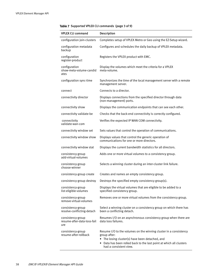| <b>VPLEX CLI command</b>                                | <b>Description</b>                                                                                                                                                                                                                    |
|---------------------------------------------------------|---------------------------------------------------------------------------------------------------------------------------------------------------------------------------------------------------------------------------------------|
| configuration join-clusters                             | Completes setup of VPLEX Metro or Geo using the EZ-Setup wizard.                                                                                                                                                                      |
| configuration metadata<br>backup                        | Configures and schedules the daily backup of VPLEX metadata.                                                                                                                                                                          |
| configuration<br>register-product                       | Registers the VPLEX product with EMC.                                                                                                                                                                                                 |
| configuration<br>show-meta-volume-candid<br>ates        | Display the volumes which meet the criteria for a VPLEX<br>meta-volume.                                                                                                                                                               |
| configuration sync-time                                 | Synchronizes the time of the local management server with a remote<br>management server.                                                                                                                                              |
| connect                                                 | Connects to a director.                                                                                                                                                                                                               |
| connectivity director                                   | Displays connections from the specified director through data<br>(non-management) ports.                                                                                                                                              |
| connectivity show                                       | Displays the communication endpoints that can see each other.                                                                                                                                                                         |
| connectivity validate-be                                | Checks that the back-end connectivity is correctly configured.                                                                                                                                                                        |
| connectivity<br>validate-wan-com                        | Verifies the expected IP WAN COM connectivity.                                                                                                                                                                                        |
| connectivity window set                                 | Sets values that control the operation of communications.                                                                                                                                                                             |
| connectivity window show                                | Displays values that control the generic operation of<br>communications for one or more directors.                                                                                                                                    |
| connectivity window stat                                | Displays the current bandwidth statistics for all directors.                                                                                                                                                                          |
| consistency-group<br>add-virtual-volumes                | Adds one or more virtual volumes to a consistency group.                                                                                                                                                                              |
| consistency-group<br>choose-winner                      | Selects a winning cluster during an inter-cluster link failure.                                                                                                                                                                       |
| consistency-group create                                | Creates and names an empty consistency group.                                                                                                                                                                                         |
| consistency-group destroy                               | Destroys the specified empty consistency group(s).                                                                                                                                                                                    |
| consistency-group<br>list-eligible-volumes              | Displays the virtual volumes that are eligible to be added to a<br>specified consistency group.                                                                                                                                       |
| consistency-group<br>remove-virtual-volumes             | Removes one or more virtual volumes from the consistency group.                                                                                                                                                                       |
| consistency-group<br>resolve-conflicting-detach         | Select a winning cluster on a consistency group on which there has<br>been a conflicting detach.                                                                                                                                      |
| consistency-group<br>resume-after-data-loss-fail<br>ure | Resumes I/O on an asynchronous consistency group when there are<br>data loss failures.                                                                                                                                                |
| consistency-group<br>resume-after-rollback              | Resume I/O to the volumes on the winning cluster in a consistency<br>group after:<br>• The losing cluster(s) have been detached, and<br>• Data has been rolled back to the last point at which all clusters<br>had a consistent view. |

#### Table 7 Supported VPLEX CLI commands (page 3 of 9)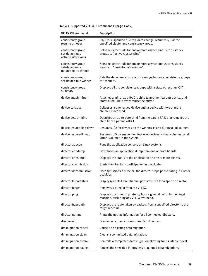| <b>VPLEX CLI command</b>                                    | <b>Description</b>                                                                                                 |
|-------------------------------------------------------------|--------------------------------------------------------------------------------------------------------------------|
| consistency-group<br>resume-at-loser                        | If I/O is suspended due to a data change, resumes I/O at the<br>specified cluster and consistency group.           |
| consistency-group<br>set-detach-rule<br>active-cluster-wins | Sets the detach-rule for one or more asynchronous consistency<br>groups to "active-cluster-wins"                   |
| consistency-group<br>set-detach-rule<br>no-automatic-winner | Sets the detach-rule for one or more asynchronous consistency<br>groups to "no-automatic-winner".                  |
| consistency-group<br>set-detach-rule winner                 | Sets the detach-rule for one or more synchronous consistency groups<br>to "winner".                                |
| consistency-group<br>summary                                | Displays all the consistency groups with a state other than 'OK".                                                  |
| device attach-mirror                                        | Attaches a mirror as a RAID 1 child to another (parent) device, and<br>starts a rebuild to synchronize the mirror. |
| device collapse                                             | Collapses a one-legged device until a device with two or more<br>children is reached.                              |
| device detach-mirror                                        | Detaches an up-to-date child from the parent RAID 1 or removes the<br>child from a parent RAID 1.                  |
| device resume-link-down                                     | Resumes I/O for devices on the winning island during a link outage.                                                |
| device resume-link-up                                       | Resumes I/O on suspended top level devices, virtual volumes, or all<br>virtual volumes in the system.              |
| director appcon                                             | Runs the application console on Linux systems.                                                                     |
| director appdump                                            | Downloads an application dump from one or more boards.                                                             |
| director appstatus                                          | Displays the status of the application on one or more boards.                                                      |
| director commission                                         | Starts the director's participation in the cluster.                                                                |
| director decommission                                       | Decommissions a director. The director stops participating in cluster<br>activities.                               |
| director fc-port-stats                                      | Displays/resets Fibre Channel port statistics for a specific director.                                             |
| director forget                                             | Removes a director from the VPLEX.                                                                                 |
| director ping                                               | Displays the round-trip latency from a given director to the target<br>machine, excluding any VPLEX overhead.      |
| director tracepath                                          | Displays the route taken by packets from a specified director to the<br>target machine.                            |
| director uptime                                             | Prints the uptime information for all connected directors.                                                         |
| disconnect                                                  | Disconnects one or more connected directors.                                                                       |
| dm migration cancel                                         | Cancels an existing data migration.                                                                                |
| dm migration clean                                          | Cleans a committed data migration.                                                                                 |
| dm migration commit                                         | Commits a completed data migration allowing for its later removal.                                                 |
| dm migration pause                                          | Pauses the specified in-progress or queued data migrations.                                                        |

Table 7 Supported VPLEX CLI commands (page 4 of 9)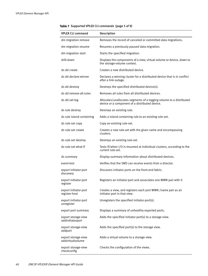| <b>VPLEX CLI command</b>                | <b>Description</b>                                                                                                    |
|-----------------------------------------|-----------------------------------------------------------------------------------------------------------------------|
| dm migration remove                     | Removes the record of canceled or committed data migrations.                                                          |
| dm migration resume                     | Resumes a previously paused data migration.                                                                           |
| dm migration start                      | Starts the specified migration.                                                                                       |
| drill-down                              | Displays the components of a view, virtual volume or device, down to<br>the storage-volume context.                   |
| ds dd create                            | Creates a new distributed-device.                                                                                     |
| ds dd declare-winner                    | Declares a winning cluster for a distributed-device that is in conflict<br>after a link outage.                       |
| ds dd destroy                           | Destroys the specified distributed-device(s).                                                                         |
| ds dd remove-all-rules                  | Removes all rules from all distributed devices.                                                                       |
| ds dd set-log                           | Allocates/unallocates segments of a logging volume to a distributed<br>device or a component of a distributed device. |
| ds rule destroy                         | Destroys an existing rule.                                                                                            |
| ds rule island-containing               | Adds a island-containing rule to an existing rule-set.                                                                |
| ds rule-set copy                        | Copy an existing rule-set.                                                                                            |
| ds rule-set create                      | Creates a new rule-set with the given name and encompassing<br>clusters.                                              |
| ds rule-set destroy                     | Destroys an existing rule-set.                                                                                        |
| ds rule-set what-if                     | Tests if/when I/O is resumed at individual clusters, according to the<br>current rule-set.                            |
| ds summary                              | Display summary information about distributed-devices.                                                                |
| event-test                              | Verifies that the SMS can receive events from a director.                                                             |
| export initiator-port<br>discovery      | Discovers initiator ports on the front-end fabric.                                                                    |
| export initiator-port<br>register       | Registers an initiator-port and associates one WWN pair with it                                                       |
| export initiator-port<br>register-host  | Creates a view, and registers each port WWN /name pair as an<br>initiator port in that view.                          |
| export initiator-port<br>unregister     | Unregisters the specified initiator-port(s).                                                                          |
| export port summary                     | Displays a summary of unhealthy exported ports.                                                                       |
| export storage-view<br>addinitiatorport | Adds the specified initiator port(s) to a storage view.                                                               |
| export storage-view<br>addport          | Adds the specified port(s) to the storage view.                                                                       |
| export storage-view<br>addvirtualvolume | Adds a virtual volume to a storage view.                                                                              |
| export storage-view<br>checkconfig      | Checks the configuration of the views.                                                                                |

#### Table 7 Supported VPLEX CLI commands (page 5 of 9)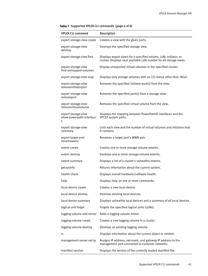| <b>VPLEX CLI command</b>                             | <b>Description</b>                                                                                                                     |
|------------------------------------------------------|----------------------------------------------------------------------------------------------------------------------------------------|
| export storage-view create                           | Creates a view with the given ports.                                                                                                   |
| export storage-view<br>destroy                       | Destroys the specified storage view.                                                                                                   |
| export storage-view find                             | Displays export views for a specified volume, LUN, initiator, or<br>cluster. Displays next available LUN number for all storage views. |
| export storage-view<br>find-unmapped-volumes         | Display unexported virtual volumes in the specified cluster.                                                                           |
| export storage-view map                              | Displays only storage volumes with an I/O status other than 'Alive'.                                                                   |
| export storage-view<br>removeinitiatorport           | Removes the specified initiator-port(s) from the view.                                                                                 |
| export storage-view<br>removeport                    | Removes the specified port(s) from a storage view.                                                                                     |
| export storage-view<br>removevirtualvolume           | Removes the specified virtual volume from the view.                                                                                    |
| export storage-view<br>show-powerpath-interface<br>S | Displays the mapping between PowerPath® interfaces and the<br>VPLEX system ports.                                                      |
| export storage-view<br>summary                       | Lists each view and the number of virtual volumes and initiators that<br>it contains.                                                  |
| export target-port<br>renamewwns                     | Renames a target port's WWN pair.                                                                                                      |
| extent create                                        | Creates one or more storage-volume extents.                                                                                            |
| extent destroy                                       | Destroys one or more storage-volume extents.                                                                                           |
| extent summary                                       | Displays a list of a cluster's unhealthy extents.                                                                                      |
| getsysinfo                                           | Returns information about the current system.                                                                                          |
| health-check                                         | Displays overall hardware/software health.                                                                                             |
| help                                                 | Displays help on one or more commands.                                                                                                 |
| local-device create                                  | Creates a new local-device.                                                                                                            |
| local-device destroy                                 | Destroys existing local-devices.                                                                                                       |
| local-device summary                                 | Displays unhealthy local devices and a summary of all local devices.                                                                   |
| logical-unit forget                                  | Forgets the specified logical units (LUNs).                                                                                            |
| logging-volume add-mirror                            | Adds a logging volume mirror.                                                                                                          |
| logging-volume create                                | Creates a new logging volume in a cluster.                                                                                             |
| logging-volume destroy                               | Destroys an existing logging volume.                                                                                                   |
| ls                                                   | Displays information about the current object or context.                                                                              |
| management-server set-ip                             | Assigns IP address, net-mask, and gateway IP address to the<br>management port connected to customer networks.                         |
| manifest version                                     | Displays the version of the currently loaded manifest file.                                                                            |

# Table 7 Supported VPLEX CLI commands (page 6 of 9)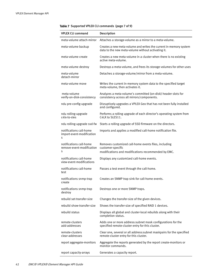| <b>VPLEX CLI command</b>                                  | Description                                                                                                                      |
|-----------------------------------------------------------|----------------------------------------------------------------------------------------------------------------------------------|
| meta-volume attach-mirror                                 | Attaches a storage-volume as a mirror to a meta-volume.                                                                          |
| meta-volume backup                                        | Creates a new meta-volume and writes the current in-memory system<br>data to the new meta-volume without activating it.          |
| meta-volume create                                        | Creates a new meta-volume in a cluster when there is no existing<br>active meta-volume.                                          |
| meta-volume destroy                                       | Destroys a meta-volume, and frees its storage volumes for other uses                                                             |
| meta-volume<br>detach-mirror                              | Detaches a storage-volume/mirror from a meta-volume.                                                                             |
| meta-volume move                                          | Writes the current in-memory system data to the specified target<br>meta-volume, then activates it.                              |
| meta-volume<br>verify-on-disk-consistency                 | Analyzes a meta-volume's committed (on-disk) header slots for<br>consistency across all mirrors/components.                      |
| ndu pre-config-upgrade                                    | Disruptively upgrades a VPLEX Geo that has not been fully installed<br>and configured.                                           |
| ndu rolling-upgrade<br>c4lx-to-sles                       | Performs a rolling upgrade of each director's operating system from<br>C4LX to SLES11.                                           |
| ndu rolling-upgrade ssd-fw                                | Starts a rolling upgrade of SSD firmware on the directors.                                                                       |
| notifications call-home<br>import-event-modification<br>S | Imports and applies a modified call-home notification file.                                                                      |
| notifications call-home<br>remove-event-modification<br>S | Removes customized call-home events files, including<br>customer-specific<br>modifications and modifications recommended by EMC. |
| notifications call-home<br>view-event-modifications       | Displays any customized call-home events.                                                                                        |
| notifications call-home<br>test                           | Passes a test event through the call-home.                                                                                       |
| notifications snmp-trap<br>create                         | Creates an SNMP trap sink for call-home events.                                                                                  |
| notifications snmp-trap<br>destroy                        | Destroys one or more SNMP traps.                                                                                                 |
| rebuild set-transfer-size                                 | Changes the transfer-size of the given devices.                                                                                  |
| rebuild show-transfer-size                                | Shows the transfer-size of specified RAID 1 devices.                                                                             |
| rebuild status                                            | Displays all global and cluster-local rebuilds along with their<br>completion status.                                            |
| remote-clusters<br>add-addresses                          | Adds one or more address: subnet mask configurations for the<br>specified remote-cluster entry for this cluster.                 |
| remote-clusters<br>clear-addresses                        | Clear one, several or all address: subnet maskpairs for the specified<br>remote-cluster entry for this cluster.                  |
| report aggregate-monitors                                 | Aggregate the reports generated by the report create-monitors or<br>monitor commands.                                            |
| report capacity-arrays                                    | Generates a capacity report.                                                                                                     |

#### Table 7 Supported VPLEX CLI commands (page 7 of 9)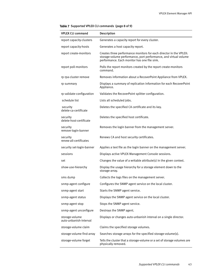| <b>VPLEX CLI command</b>                 | <b>Description</b>                                                                                               |
|------------------------------------------|------------------------------------------------------------------------------------------------------------------|
| report capacity-clusters                 | Generates a capacity report for every cluster.                                                                   |
| report capacity-hosts                    | Generates a host capacity report.                                                                                |
| report create-monitors                   | Creates three performance monitors for each director in the VPLEX:                                               |
|                                          | storage-volume performance, port performance, and virtual volume<br>performance. Each monitor has one file sink. |
| report poll-monitors                     | Polls the report monitors created by the report create-monitors<br>command.                                      |
| rp rpa-cluster remove                    | Removes information about a RecoverPoint Appliance from VPLEX.                                                   |
| rp summary                               | Displays a summary of replication information for each RecoverPoint<br>Appliance.                                |
| rp validate-configuration                | Validates the RecoverPoint splitter configuration.                                                               |
| schedule list                            | Lists all scheduled jobs.                                                                                        |
| security<br>delete-ca-certificate        | Deletes the specified CA certificate and its key.                                                                |
| security<br>delete-host-certificate      | Deletes the specified host certificate.                                                                          |
| security<br>remove-login-banner          | Removes the login banner from the management server.                                                             |
| security<br>renew-all-certificates       | Renews CA and host security certificates.                                                                        |
| security set-login-banner                | Applies a text file as the login banner on the management server.                                                |
| sessions                                 | Displays active VPLEX Management Console sessions.                                                               |
| set                                      | Changes the value of a writable attribute(s) in the given context.                                               |
| show-use-hierarchy                       | Display the usage hierarchy for a storage element down to the<br>storage-array.                                  |
| sms dump                                 | Collects the logs files on the management server.                                                                |
| snmp-agent configure                     | Configures the SNMP agent service on the local cluster.                                                          |
| snmp-agent start                         | Starts the SNMP agent service.                                                                                   |
| snmp-agent status                        | Displays the SNMP agent service on the local cluster.                                                            |
| snmp-agent stop                          | Stops the SNMP agent service.                                                                                    |
| snmp-agent unconfigure                   | Destroys the SNMP agent.                                                                                         |
| storage-volume<br>auto-unbanish-interval | Displays or changes auto-unbanish interval on a single director.                                                 |
| storage-volume claim                     | Claims the specified storage volumes.                                                                            |
| storage-volume find-array                | Searches storage arrays for the specified storage-volume(s).                                                     |
| storage-volume forget                    | Tells the cluster that a storage-volume or a set of storage volumes are<br>physically removed.                   |

# Table 7 Supported VPLEX CLI commands (page 8 of 9)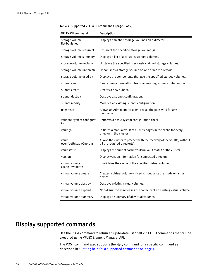| <b>VPLEX CLI command</b>           | <b>Description</b>                                                                                       |
|------------------------------------|----------------------------------------------------------------------------------------------------------|
| storage-volume<br>list-banished    | Displays banished storage-volumes on a director.                                                         |
| storage-volume resurrect           | Resurrect the specified storage-volume(s).                                                               |
| storage-volume summary             | Displays a list of a cluster's storage volumes.                                                          |
| storage-volume unclaim             | Unclaims the specified previously claimed storage volumes.                                               |
| storage-volume unbanish            | Unbanishes a storage-volume on one or more directors.                                                    |
| storage-volume used-by             | Displays the components that use the specified storage volumes.                                          |
| subnet clear                       | Clears one or more attributes of an existing subnet configuration.                                       |
| subnet create                      | Creates a new subnet.                                                                                    |
| subnet destroy                     | Destroys a subnet configuration.                                                                         |
| subnet modify                      | Modifies an existing subnet configuration.                                                               |
| user reset                         | Allows an Administrator user to reset the password for any<br>username.                                  |
| validate-system-configurat<br>ion  | Performs a basic system configuration check.                                                             |
| vault go                           | Initiates a manual vault of all dirty pages in the cache for every<br>director in the cluster            |
| vault<br>overrideUnvaultQuorum     | Allows the cluster to proceed with the recovery of the vault(s) without<br>all the required director(s). |
| vault status                       | Displays the current cache vault/unvault status of the cluster.                                          |
| version                            | Display version information for connected directors.                                                     |
| virtual-volume<br>cache-invalidate | Invalidates the cache of the specified virtual volume.                                                   |
| virtual-volume create              | Creates a virtual volume with synchronous cache mode on a host<br>device.                                |
| virtual-volume destroy             | Destroys existing virtual volumes.                                                                       |
| virtual-volume expand              | Non-disruptively increases the capacity of an existing virtual volume.                                   |
| virtual-volume summary             | Displays a summary of all virtual volumes.                                                               |

#### Table 7 Supported VPLEX CLI commands (page 9 of 9)

# <span id="page-43-0"></span>Display supported commands

Use the POST command to return an up-to-date list of all VPLEX CLI commands that can be executed using VPLEX Element Manager API.

The POST command also supports the Help command for a specific command as described in ["Getting help for a supported command" on page 45.](#page-44-3)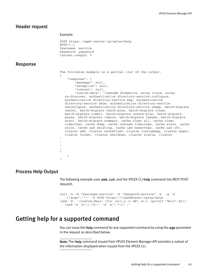# <span id="page-44-0"></span>Header request

#### Example:

```
POST https://mgmt-server-ip/vplex/help 
HTTP/1.1
Username: service
Password: password
Content-Length: 0
```
#### <span id="page-44-1"></span>Response

```
The following example is a partial list of the output. 
{
     "response": {
         "message": null,
         "exception": null,
         "context": null,
         "custom-data": "[advadm dismantle, array claim, array 
  re-discover, authentication directory-service configure, 
  authentication directory-service map, authentication 
  directory-service show, authentication directory-service
```
unconfigure, authentication directory-service unmap, batch-migrate cancel, batch-migrate check-plan, batch-migrate clean, batch-migrate commit, batch-migrate create-plan, batch-migrate pause, batch-migrate remove, batch-migrate resume, batch-migrate start, batch-migrate summary, cache clear all, cache clear olderthan, cache dump, cache refresh olderthan, cache stats, cache style, cache use existing, cache use newerthan, cache use off, cluster add, cluster cacheflush, cluster configdump, cluster expel, cluster forget, cluster shutdown, cluster status, cluster

" }

}

: : : :

# <span id="page-44-2"></span>Process Help Output

The following example uses awk, curl, and the VPLEX CLI help command (via REST POST request).

```
curl -k -H "Username:service" -H "Password:service" -s -g -d 
   '{"args":""}' -X POST https://<ipaddress>/vplex/help
|awk -F, '/custom-data/ {for (x=1; x \le NF; x++) {printf "%s\n", $x}}'
  |sed -e 's/\iota|. * $//' -e 's/^*. * \iota!/'
```
# <span id="page-44-4"></span><span id="page-44-3"></span>Getting help for a supported command

You can issue the Help command for any supported command by using the args parameter in the request as described below.

Note: The Help command issued from VPLEX Element Manager API provides a subset of the information displayed when issued from the VPLEX CLI.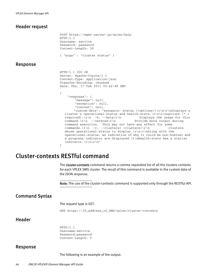# <span id="page-45-0"></span>Header request

```
POST https://mgmt-server-ip/vplex/help 
HTTP/1.1Username: service
Password: password
Content-Length: 30
{ "args" : "cluster status" }
```
# <span id="page-45-1"></span>Response

```
HTTP/1.1 200 OK
Server: Apache-Coyote/1.1
Content-Type: application/json
Transfer-Encoding: chunked
Date: Thu, 17 Feb 2011 05:42:48 GMT
```

```
{
     "response": {
         "message": null,
         "exception": null,
         "context": null,
```

```
 "custom-data": "synopsis: status [<options>]\r\n\r\nDisplays a 
cluster's operational-status and health-state.\rm\ln\rm\ln\rm\ln\rm\ln\rm\ln\, (* =
required):\r \n\cdot h, --help\r \cdot h Displays the usage for this
command.\r\n --verbose\r\n Provide more output during
command execution. This may not have any effect for some 
commands.\r\nu -c, --clusters= <clusters>\r\nuwhose operational-status to display.\r\n\r\n\pi\nAlong with the
operational-status, an indication of why it could be non-nominal and 
a progress indicator are displayed.\r\nHealth-state has a similar 
indicator.\r\n\r\n"
```
# <span id="page-45-2"></span>Cluster-contexts RESTful command

}

The cluster-contexts command returns a comma separated list of all the clusters contexts for each VPLEX SMS cluster. The result of this command is available in the custom data of the JSON response.

Note: The use of the cluster-contexts command is supported only through the RESTful API.

# <span id="page-45-3"></span>Command Syntax

The request type is GET.

GET https://*IP\_address\_of\_SMS*/vplex/cluster-contexts

# <span id="page-45-4"></span>Header

 $HTTP/1.1$ Username:service Password:password Content-Length: 0

# <span id="page-45-5"></span>Response

The following is an example of the output.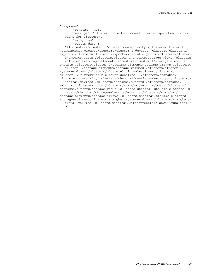"response": {

"context": null,

 "message": "cluster-contexts Command - review specified context paths for clusters",

"exception": null,

"custom-data":

"[[/clusters/cluster-1/cluster-connectivity,/clusters/cluster-1 /consistency-groups,/clusters/cluster-1/devices,/clusters/cluster-1/ exports,/clusters/cluster-1/exports/initiator-ports,/clusters/cluster-1/exports/ports,/clusters/cluster-1/exports/storage-views,/clusters /cluster-1/storage-elements,/clusters/cluster-1/storage-elements/ extents,/clusters/cluster-1/storage-elements/storage-arrays,/clusters/ cluster-1/storage-elements/storage-volumes,/clusters/cluster-1/ system-volumes,/clusters/cluster-1/virtual-volumes,/clusters/ cluster-1/uninterruptible-power-supplies],[/clusters/shanghai/ cluster-connectivity,/clusters/shanghai/consistency-groups,/clusters/s hanghai/devices,/clusters/shanghai/exports,/clusters/shanghai/ exports/initiator-ports,/clusters/shanghai/exports/ports,/clusters/ shanghai/exports/storage-views,/clusters/shanghai/storage-elements,/cl usters/shanghai/storage-elements/extents,/clusters/shanghai/ storage-elements/storage-arrays,/clusters/shanghai/storage-elements/ storage-volumes,/clusters/shanghai/system-volumes,/clusters/shanghai/v irtual-volumes,/clusters/shanghai/uninterruptible-power-supplies]]" }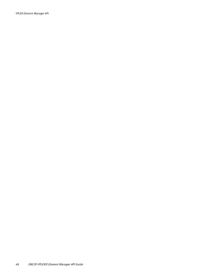VPLEX Element Manager API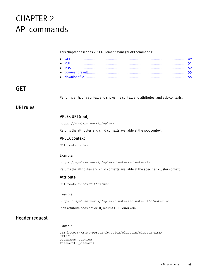# <span id="page-48-0"></span>CHAPTER 2 API commands

This chapter describes VPLEX Element Manager API commands:

# <span id="page-48-4"></span><span id="page-48-1"></span>**GFT**

Performs an ls of a context and shows the context and attributes, and sub-contexts.

# <span id="page-48-2"></span>URI rules

# VPLEX URI (root)

https://*mgmt-server-ip*/vplex/

Returns the attributes and child contexts available at the root context.

# VPLEX context

URI root/*context*

### Example:

https://*mgmt-server-ip*/vplex/clusters/cluster-1*/*

Returns the attributes and child contexts available at the specified cluster context.

# **Attribute**

URI root/*context*?*attribute*

#### Example:

https://*mgmt-server-ip*/vplex/clusters/cluster-1?*cluster-id*

If an attribute does not exist, returns HTTP error 404.

# <span id="page-48-3"></span>Header request

#### Example:

GET https://*mgmt-server-ip*/vplex/clusters/*cluster-name* HTTP/1.1 Username: service Password: *password*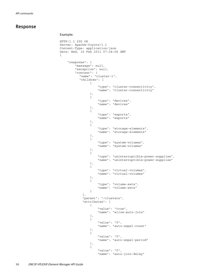# <span id="page-49-0"></span>Response

#### Example:

{

```
HTTP/1.1 200 OK
Server: Apache-Coyote/1.1
Content-Type: application/json
Date: Wed, 16 Feb 2011 07:24:06 GMT
    "response": {
       "message": null,
       "exception": null,
 "context": {
         "name": "cluster-1",
         "children": [
 {
                 "type": "cluster-connectivity",
                 "name": "cluster-connectivity"
              },
 {
                 "type": "devices",
                 "name": "devices"
              },
 {
                 "type": "exports",
                 "name": "exports"
              },
 {
                 "type": "storage-elements",
                 "name": "storage-elements"
              },
 {
                 "type": "system-volumes",
                 "name": "system-volumes"
              },
 {
 "type": "uninterruptible-power-supplies",
 "name": "uninterruptible-power-supplies"
              },
 {
                 "type": "virtual-volumes",
                 "name": "virtual-volumes"
              },
 {
 "type": "volume-sets",
 "name": "volume-sets"
 }
           ],
           "parent": "/clusters",
           "attributes": [
 {
                 "value": "true",
                 "name": "allow-auto-join"
              },
 {
                 "value": "0",
                 "name": "auto-expel-count"
              },
 {
                 "value": "0",
                 "name": "auto-expel-period"
              },
 {
                 "value": "0",
                 "name": "auto-join-delay"
```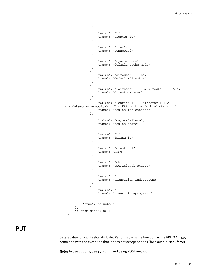```
 },
 {
                  "value": "1",
                  "name": "cluster-id"
              },
 {
                  "value": "true",
                  "name": "connected"
              },
 {
                  "value": "synchronous",
                  "name": "default-cache-mode"
              },
 {
                  "value": "director-1-1-B",
                  "name": "default-director"
              },
 {
                  "value": "[director-1-1-B, director-1-1-A]",
                  "name": "director-names"
              },
 {
                  "value": "[engine-1-1 : director-1-1-A : 
  stand-by-power-supply-A : The SPS is in a faulted state. ]"
                  "name": "health-indications"
              },
 {
                  "value": "major-failure",
                  "name": "health-state"
              },
 {
                  "value": "1",
                  "name": "island-id"
              },
 {
                  "value": "cluster-1",
                  "name": "name"
              },
 {
 "value": "ok",
 "name": "operational-status"
              },
 {
                  "value": "[]",
                  "name": "transition-indications"
              },
 {
                  "value": "[]",
                  "name": "transition-progress"
 }
           ],
           "type": "cluster"
       },
       "custom-data": null
    }
}
```
# <span id="page-50-1"></span><span id="page-50-0"></span>PUT

Sets a value for a writeable attribute. Performs the same function as the VPLEX CLI set command with the exception that it does not accept options (for example: set --force).

Note: To use options, use set command using POST method.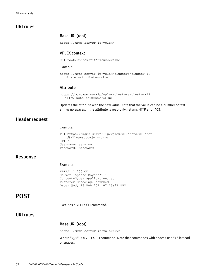# <span id="page-51-0"></span>URI rules

# Base URI (root)

https://*mgmt-server-ip*/vplex/

# VPLEX context

URI root/*context*?*attribute*=value

#### Example:

```
https://mgmt-server-ip/vplex/clusters/cluster-1? 
  cluster-attribute=value
```
#### Attribute

```
https://mgmt-server-ip/vplex/clusters/cluster-1? 
  allow-auto-join=new-value
```
Updates the attribute with the new value. Note that the value can be a number or text string; no spaces. If the attribute is read-only, returns HTTP error 403.

# <span id="page-51-1"></span>Header request

### Example:

```
PUT https://mgmt-server-ip/vplex/clusters/cluster-
  id?allow-auto-join=true
HTTP/1.1Username: service
Password: password
```
# <span id="page-51-2"></span>Response

#### Example:

HTTP/1.1 200 OK Server: Apache-Coyote/1.1 Content-Type: application/json Transfer-Encoding: chunked Date: Wed, 16 Feb 2011 07:15:42 GMT

# <span id="page-51-5"></span><span id="page-51-3"></span>POST

Executes a VPLEX CLI command.

# <span id="page-51-4"></span>URI rules

# Base URI (root)

https://*mgmt-server-ip*/vplex/*xyz*

Where "*xyz*" is a VPLEX CLI command. Note that commands with spaces use "+" instead of spaces.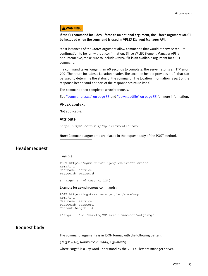#### <u>WARNING</u>

If the CLI command includes --force as an optional argument, the --force argument MUST be included when the command is used in VPLEX Element Manager API.

Most instances of the --force argument allow commands that would otherwise require confirmation to be run without confirmation. Since VPLEX Element Manager API is non-interactive, make sure to include --force if it is an available argument for a CLI command.

If a command takes longer than 60 seconds to complete, the server returns a HTTP error 202. The return includes a Location header. The Location header provides a URI that can be used to determine the status of the command. The location information is part of the response header and not part of the response structure itself.

The command then completes asynchronously.

See ["commandresult" on page 55](#page-54-0) and ["downloadfile" on page 55](#page-54-4) for more information.

#### VPLEX context

Not applicable.

#### Attribute

https://*mgmt-server-ip*/vplex/extent+create

Note: Command arguments are placed in the request body of the POST method.

# <span id="page-52-0"></span>Header request

#### Example:

POST https://*mgmt-server-ip*/vplex/extent+create HTTP/1.1 Username: service Password: *password*

{ "args" : "-d test -s 1G"}

Example for asynchronous commands:

```
POST https://mgmt-server-ip/vplex/sms+dump 
HTTP/1.1
Username: service
Password: password
Content-Length: 34
```
{"args" : "-d /var/log/VPlex/cli/wwwroot/outgoing"}

# <span id="page-52-1"></span>Request body

The command arguments is in JSON format with the following pattern:

{"args":user\_supplied command\_arguments}

where "args" is a key word understood by the VPLEX Element manager server.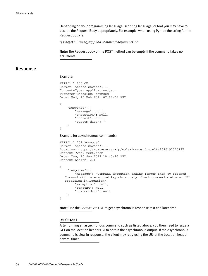Depending on your programming language, scripting language, or tool you may have to escape the Request Body appropriately. For example, when using Python the string for the Request body is:

"{\"args\" : \"user\_supplied command arguments\"}"

Note: The Request body of the POST method can be empty if the command takes no arguments.

# <span id="page-53-0"></span>Response

Example:

```
HTTP/1.1 200 OK
Server: Apache-Coyote/1.1
Content-Type: application/json
Transfer-Encoding: chunked
Date: Wed, 16 Feb 2011 07:24:06 GMT
{
     "response": {
         "message": null,
         "exception": null,
         "context": null,
         "custom-data": ""
     }
}
```
Example for asynchronous commands:

```
HTTP/1.1 202 Accepted
Server: Apache-Coyote/1.1
Location: https://mgmt-server-ip/vplex/commandresult/1326192320937
Content-Type: text/json
Date: Tue, 10 Jan 2012 10:45:20 GMT
Content-Length: 271
{
     "response": {
         "message": "Command execution taking longer than 60 seconds. 
  Command will be executed Asynchronously. Check command status at URL 
  specified in Location",
         "exception": null,
         "context": null,
         "custom-data": null
     }
}
```
Note: Use the Location URL to get asynchronous response text at a later time.

#### IMPORTANT

After running an asynchronous command such as listed above, you then need to issue a GET on the location header URI to obtain the asynchronous output. If the Asynchronous command is slow in response, the client may retry using the URI at the Location header several times.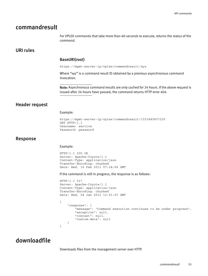# <span id="page-54-5"></span><span id="page-54-0"></span>commandresult

For VPLEX commands that take more than 60 seconds to execute, returns the status of the command.

# <span id="page-54-1"></span>URI rules

# BaseURI(root)

https://mgmt-server-ip/vplex/commandresult/xyz

Where "xyz" is a command result ID obtained by a previous asynchronous command invocation.

Note: Asynchronous command results are only cached for 24 hours. If the above request is issued after 24 hours have passed, the command returns HTTP error 404.

# <span id="page-54-2"></span>Header request

Example:

https://mgmt-server-ip/vplex/commandresult/1323445837220 GET HTTP/1.1 Username: service Password: *password*

# <span id="page-54-3"></span>Response

#### Example:

HTTP/1.1 200 OK Server: Apache-Coyote/1.1 Content-Type: application/json Transfer-Encoding: chunked Date: Wed, 16 Feb 2011 07:24:06 GMT

If the command is still in progress, the response is as follows:

```
HTTP/1.1 517
Server: Apache-Coyote/1.1
Content-Type: application/json
Transfer-Encoding: chunked
Date: Wed, 04 Jan 2012 12:01:03 GMT
{
     "response": {
         "message": "Command execution continues to be under progress",
         "exception": null,
         "context": null,
         "custom-data": null
     }
}
```
# <span id="page-54-6"></span><span id="page-54-4"></span>downloadfile

Downloads files from the management server over HTTP.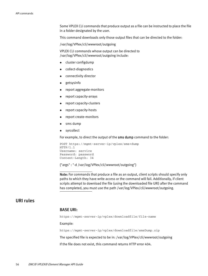Some VPLEX CLI commands that produce output as a file can be instructed to place the file in a folder designated by the user.

This command downloads only those output files that can be directed to the folder:

/var/log/VPlex/cli/wwwroot/outgoing

VPLEX CLI commands whose output can be directed to /var/log/VPlex/cli/wwwroot/outgoing include:

- ◆ cluster configdump
- ◆ collect-diagnostics
- ◆ connectivity director
- ◆ getsysinfo
- ◆ report aggregate-monitors
- ◆ report capacity-arrays
- ◆ report capacity-clusters
- ◆ report capacity-hosts
- ◆ report create-monitors
- ◆ sms dump
- ◆ syrcollect

For example, to direct the output of the **sms dump** command to the folder:

```
POST https://mgmt-server-ip/vplex/sms+dump 
HTTP/1.1
Username: service
Password: password
Content-Length: 34
```
{"args" : "-d /var/log/VPlex/cli/wwwroot/outgoing"}

Note: For commands that produce a file as an output, client scripts should specify only paths to which they have write access or the command will fail. Additionally, if client scripts attempt to download the file (using the downloaded file URI) after the command has completed, you must use the path /var/log/VPlex/cli/wwwroot/outgoing.

# <span id="page-55-0"></span>URI rules

# BASE URI:

https://mgmt-server-ip/vplex/downloadfile/file-name

Example:

https://mgmt-server-ip/vplex/downloadfile/smsDump.zip

The specified file is expected to be in: /var/log/VPlex/cli/wwwroot/outgoing

If the file does not exist, this command returns HTTP error 404.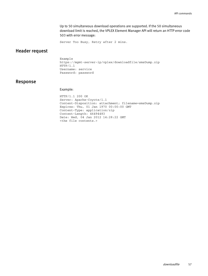Up to 50 simultaneous download operations are supported. If the 50 simultaneous download limit is reached, the VPLEX Element Manager API will return an HTTP error code 503 with error message:

Server Too Busy, Retry after 2 mins.

# <span id="page-56-0"></span>Header request

Example https://mgmt-server-ip/vplex/downloadfile/smsDump.zip  $HTTP/1.1$ Username: service Password: password

# <span id="page-56-1"></span>Response

#### Example:

HTTP/1.1 200 OK Server: Apache-Coyote/1.1 Content-Disposition: attachment; filename=smsDump.zip Expires: Thu, 01 Jan 1970 00:00:00 GMT Content-Type: application/zip Content-Length: 46494483 Date: Wed, 04 Jan 2012 14:28:22 GMT <the file contents.>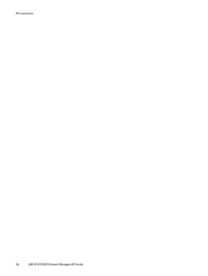API commands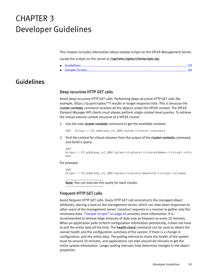# <span id="page-58-0"></span>CHAPTER 3 Developer Guidelines

This chapter includes information about sample scripts on the VPLEX Management Server. Locate the scripts on the server at /opt/emc/vplex/clientscripts.zip.

- ◆ [Guidelines .............................................................................................................. 59](#page-58-1)
- ◆ [Sample Scripts........................................................................................................ 60](#page-59-0)

# <span id="page-58-2"></span><span id="page-58-1"></span>Guidelines

# Deep recursive HTTP GET calls

Avoid deep recursive HTTP GET calls. Performing deep recursive HTTP GET calls (for example, https://ip:port/vplex/\*\*) results in longer response time. This is because the cluster contexts command receives all the objects under the VPLEX context. The VPLEX Element Manager API clients must always perform single context level queries. To retrieve the virtual-volume context structure of a VPLEX cluster:

1. Use the new cluster contexts command to get the available contexts.

GET https://*IP\_address\_of\_SMS*/vplex/cluster-contexts

2. Find the context for virtual-volumes from the output of the cluster-contexts command, and build a query.

```
GET 
https://IP_address_of_SMS/vplex/clusters/<clusterName>/virtual-volu
mes
```
For example:

```
GET 
https://IP_address_of_SMS/vplex/clusters/NewYork/virtual-volumes
```
Note: You can execute this query for each cluster.

# Frequent HTTP GET calls

Avoid frequent HTTP GET calls. Every HTTP GET call reconstructs the managed object attributes, placing a load on the management server, which can slow down responses to other users of the management server. Construct requests in a manner to gather only the necessary data. ["Sample Scripts" on page 60](#page-59-0) provides more information. It is recommended to retrieve large amounts of data only as frequent as every 20 minutes. When an application polls to fetch configuration information periodically, it does not have to poll the entire data all the time. The **health-check** command can be used to obtain the overall health and the configuration summary of the system. If there is a change in configuration, poll the entire data. The polling interval to check the health of the system must be around 20 minutes, and applications can take around 60 minutes to get the entire system information. Longer polling intervals help determine changes in the object properties.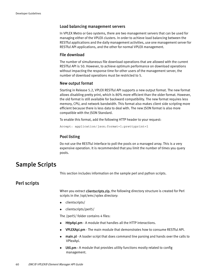#### Load balancing management servers

In VPLEX Metro or Geo systems, there are two management servers that can be used for managing either of the VPLEX clusters. In order to achieve load balancing between the RESTful applications and the daily management activities, use one management server for RESTful API applications, and the other for normal VPLEX management.

#### File download

The number of simultaneous file download operations that are allowed with the current RESTful API is 50. However, to achieve optimum performance on download operations without impacting the response time for other users of the management server, the number of download operations must be restricted to 5.

## New output format

Starting in Release 5.2, VPLEX RESTful API supports a new output format. The new format allows disabling pretty print, which is 80% more efficient than the older format. However, the old format is still available for backward compatibility. The new format requires less memory, CPU, and network bandwidth. This format also makes client side scripting more efficient because there is less data to deal with. The new JSON format is also more compatible with the JSON Standard.

To enable this format, add the following HTTP header to your request:

Accept: application/json;format=1;prettyprint=1

## Pool listing

Do not use the RESTful interface to poll the pools on a managed array. This is a very expensive operation. It is recommended that you limit the number of times you query pools.

# <span id="page-59-0"></span>Sample Scripts

This section includes information on the sample perl and python scripts.

# <span id="page-59-1"></span>Perl scripts

When you extract **clientscripts.zip**, the following directory structure is created for Perl scripts in the /opt/emc/vplex directory:

- ◆ clientscripts/
- ◆ clientscripts/perl5/

The /perl5/ folder contains 4 files:

- **HttpApi.pm** A module that handles all the HTTP interactions.
- VPLEXApi.pm The main module that demonstrates how to consume RESTful API.
- main.pl A loader script that does command line parsing and hands over the calls to VPlexApi.
- ◆ Util.pm A module that provides utility functions mostly related to config management.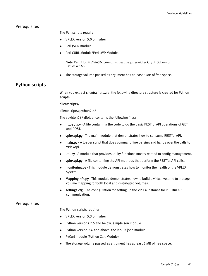### Prerequisites

The Perl scripts require:

- ◆ VPLEX version 5.0 or higher
- ◆ Perl JSON module
- Perl CURL Module/Perl LWP Module.

**Note:** Perl 5 for MSWin32-x86-multi-thread requires either Crypt::SSLeay or IO::Socket::SSL.

◆ The storage volume passed as argument has at least 5 MB of free space.

# <span id="page-60-0"></span>Python scripts

When you extract **clientscripts.zip**, the following directory structure is created for Python scripts:

clientscripts/

clientscripts/python2.6/

The /pyhton26/ dfolder contains the following files:

- ◆ httpapi.py A file containing the code to do the basic RESTful API operations of GET and POST.
- ◆ vplexapi.py The main module that demonstrates how to consume RESTful API.
- **main.py** A loader script that does command line parsing and hands over the calls to VPlexApi.
- util.py A module that provides utility functions mostly related to config management.
- vplexapi.py A file containing the API methods that perform the RESTful API calls.
- ◆ monitoring.py This module demonstrates how to monitor the health of the VPLEX system.
- ◆ MappingInfo.py This module demonstrates how to build a virtual volume to storage volume mapping for both local and distributed volumes.
- ◆ settings.cfg The configuration for setting up the VPLEX instance for RESTful API communication.

#### Prerequisites

The Python scripts require:

- ◆ VPLEX version 5.3 or higher
- ◆ Python versions 2.6 and below: simplejson module
- ◆ Python version 2.6 and above: the inbuilt json module
- PyCurl module (Python Curl Module)
- ◆ The storage volume passed as argument has at least 5 MB of free space.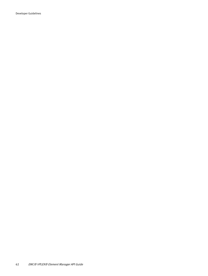Developer Guidelines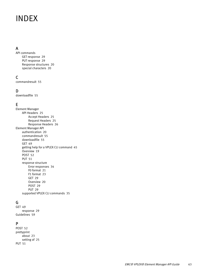# <span id="page-62-0"></span>INDEX

# A

API commands [GET response 29](#page-28-0) [PUT response 29](#page-28-1) [Response structures 20](#page-19-3) [special characters 20](#page-19-4)

# C

[commandresult 55](#page-54-5)

# D

[downloadfile 55](#page-54-6)

# E

Element Manager [API Headers 25](#page-24-0) [Accept Headers 25](#page-24-1) [Request Headers 25](#page-24-2) [Response Headers 26](#page-25-0) Element Manager API [authentication 20](#page-19-5) [commandresult 55](#page-54-5) [downloadfile 55](#page-54-6) [GET 49](#page-48-4) [getting help for a VPLEX CLI command 45](#page-44-4) [Overview 19](#page-18-2) [POST 52](#page-51-5) [PUT 51](#page-50-1) response structure [Error responses 34](#page-33-1) [F0 format 21](#page-20-0) [F1 format 23](#page-22-0) [GET 29](#page-28-0) [Overview 20](#page-19-3) [POST 29](#page-28-2) [PUT 29](#page-28-1) [supported VPLEX CLI commands 35](#page-34-1)

# G

[GET 49](#page-48-4) [response 29](#page-28-0) [Guidelines 59](#page-58-2)

# P

[POST 52](#page-51-5) prettyprint [about 23](#page-22-1) [setting of 25](#page-24-1) [PUT 51](#page-50-1)